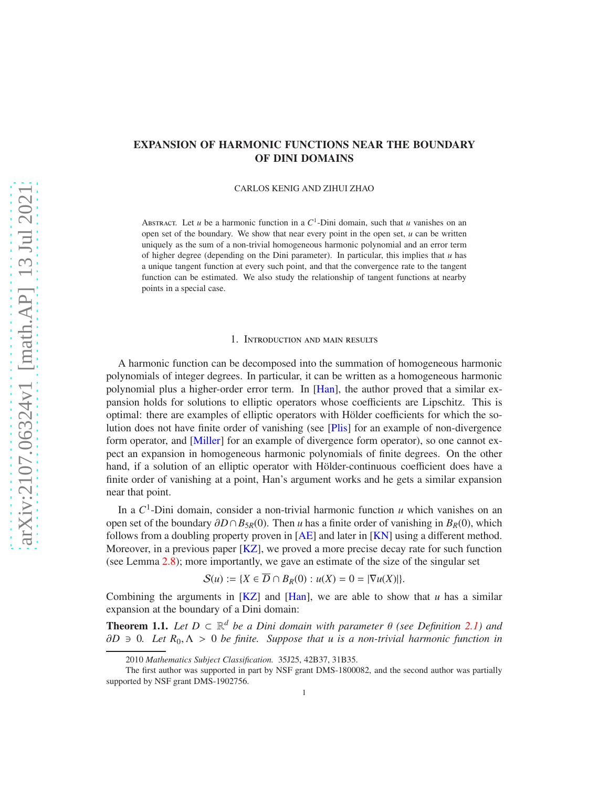# <span id="page-0-1"></span>EXPANSION OF HARMONIC FUNCTIONS NEAR THE BOUNDARY OF DINI DOMAINS

CARLOS KENIG AND ZIHUI ZHAO

ABSTRACT. Let *u* be a harmonic function in a  $C^1$ -Dini domain, such that *u* vanishes on an open set of the boundary. We show that near every point in the open set,  $u$  can be written uniquely as the sum of a non-trivial homogeneous harmonic polynomial and an error term of higher degree (depending on the Dini parameter). In particular, this implies that  $u$  has a unique tangent function at every such point, and that the convergence rate to the tangent function can be estimated. We also study the relationship of tangent functions at nearby points in a special case.

## 1. Introduction and main results

A harmonic function can be decomposed into the summation of homogeneous harmonic polynomials of integer degrees. In particular, it can be written as a homogeneous harmonic polynomial plus a higher-order error term. In [\[Han\]](#page-30-0), the author proved that a similar expansion holds for solutions to elliptic operators whose coefficients are Lipschitz. This is optimal: there are examples of elliptic operators with Hölder coefficients for which the solution does not have finite order of vanishing (see [\[Plis\]](#page-30-1) for an example of non-divergence form operator, and [\[Miller\]](#page-30-2) for an example of divergence form operator), so one cannot expect an expansion in homogeneous harmonic polynomials of finite degrees. On the other hand, if a solution of an elliptic operator with Hölder-continuous coefficient does have a finite order of vanishing at a point, Han's argument works and he gets a similar expansion near that point.

In a  $C^1$ -Dini domain, consider a non-trivial harmonic function *u* which vanishes on an open set of the boundary ∂*D*∩*B*5*R*(0). Then *u* has a finite order of vanishing in *BR*(0), which follows from a doubling property proven in [\[AE\]](#page-30-3) and later in [\[KN\]](#page-30-4) using a different method. Moreover, in a previous paper [\[KZ\]](#page-30-5), we proved a more precise decay rate for such function (see Lemma [2.8\)](#page-4-0); more importantly, we gave an estimate of the size of the singular set

$$
\mathcal{S}(u) := \{ X \in \overline{D} \cap B_R(0) : u(X) = 0 = |\nabla u(X)| \}.
$$

Combining the arguments in [\[KZ\]](#page-30-5) and [\[Han\]](#page-30-0), we are able to show that *u* has a similar expansion at the boundary of a Dini domain:

<span id="page-0-0"></span>**Theorem 1.1.** Let  $D \subset \mathbb{R}^d$  be a Dini domain with parameter  $\theta$  (see Definition [2.1\)](#page-3-0) and ∂*D* ∋ 0*. Let R*0, Λ > 0 *be finite. Suppose that u is a non-trivial harmonic function in*

<sup>2010</sup> *Mathematics Subject Classification.* 35J25, 42B37, 31B35.

The first author was supported in part by NSF grant DMS-1800082, and the second author was partially supported by NSF grant DMS-1902756.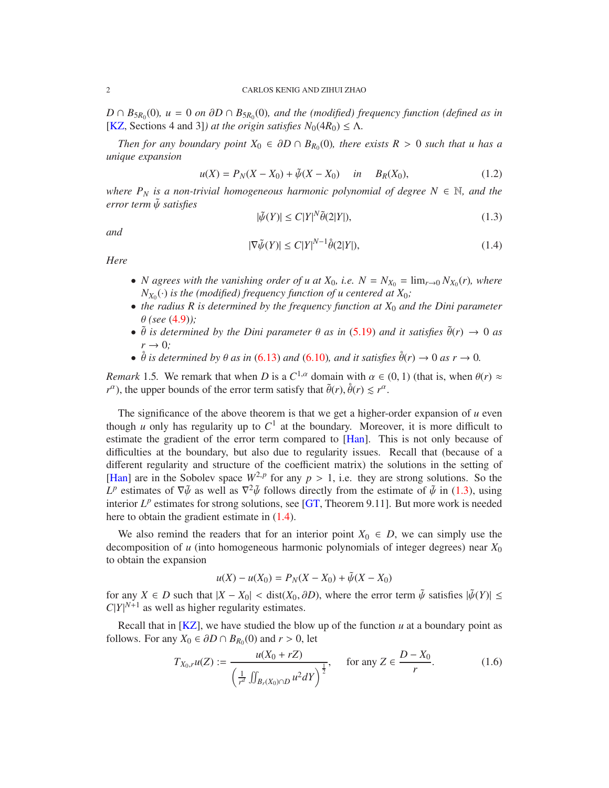*D* ∩  $B_{5R_0}(0)$ *, u* = 0 *on* ∂*D* ∩  $B_{5R_0}(0)$ *, and the (modified) frequency function (defined as in* [\[KZ,](#page-30-5) Sections 4 and 3]*) at the origin satisfies*  $N_0(4R_0) \leq \Lambda$ .

*Then for any boundary point*  $X_0 \in \partial D \cap B_{R_0}(0)$ *, there exists*  $R > 0$  *such that u has a unique expansion*

<span id="page-1-2"></span>
$$
u(X) = P_N(X - X_0) + \tilde{\psi}(X - X_0) \quad in \quad B_R(X_0), \tag{1.2}
$$

*where*  $P_N$  *is a non-trivial homogeneous harmonic polynomial of degree*  $N \in \mathbb{N}$ *, and the error term* ψ˜ *satisfies*

<span id="page-1-0"></span>
$$
|\tilde{\psi}(Y)| \le C|Y|^N \tilde{\theta}(2|Y|),\tag{1.3}
$$

*and*

<span id="page-1-1"></span>
$$
|\nabla \tilde{\psi}(Y)| \le C|Y|^{N-1}\dot{\theta}(2|Y|),\tag{1.4}
$$

*Here*

- *N* agrees with the vanishing order of u at  $X_0$ , i.e.  $N = N_{X_0} = \lim_{r \to 0} N_{X_0}(r)$ , where  $N_{X_0}(\cdot)$  *is the (modified) frequency function of u centered at*  $X_0$ *;*
- *the radius R is determined by the frequency function at X*<sup>0</sup> *and the Dini parameter* θ *(see* [\(4.9\)](#page-10-0)*);*
- $\tilde{\theta}$  *is determined by the Dini parameter*  $\theta$  *as in* [\(5.19\)](#page-15-0) *and it satisfies*  $\tilde{\theta}(r) \rightarrow 0$  *as*  $r \rightarrow 0$ *;*
- $\theta$  *is determined by*  $\theta$  *as in* [\(6.13\)](#page-21-0) *and* [\(6.10\)](#page-20-0)*, and it satisfies*  $\theta(r) \to 0$  *as*  $r \to 0$ *.*

*Remark* 1.5. We remark that when *D* is a  $C^{1,\alpha}$  domain with  $\alpha \in (0,1)$  (that is, when  $\theta(r) \approx$ *r*<sup>α</sup>), the upper bounds of the error term satisfy that  $\tilde{\theta}(r)$ ,  $\dot{\theta}(r) \leq r^{\alpha}$ .

The significance of the above theorem is that we get a higher-order expansion of  $u$  even though  $u$  only has regularity up to  $C^1$  at the boundary. Moreover, it is more difficult to estimate the gradient of the error term compared to [\[Han\]](#page-30-0). This is not only because of difficulties at the boundary, but also due to regularity issues. Recall that (because of a different regularity and structure of the coefficient matrix) the solutions in the setting of [\[Han\]](#page-30-0) are in the Sobolev space  $W^{2,p}$  for any  $p > 1$ , i.e. they are strong solutions. So the  $L^p$  estimates of  $\nabla \tilde{\psi}$  as well as  $\nabla^2 \tilde{\psi}$  follows directly from the estimate of  $\tilde{\psi}$  in [\(1.3\)](#page-1-0), using interior  $L^p$  estimates for strong solutions, see [\[GT,](#page-30-6) Theorem 9.11]. But more work is needed here to obtain the gradient estimate in [\(1.4\)](#page-1-1).

We also remind the readers that for an interior point  $X_0 \in D$ , we can simply use the decomposition of *u* (into homogeneous harmonic polynomials of integer degrees) near  $X_0$ to obtain the expansion

$$
u(X) - u(X_0) = P_N(X - X_0) + \tilde{\psi}(X - X_0)
$$

for any  $X \in D$  such that  $|X - X_0| < \text{dist}(X_0, \partial D)$ , where the error term  $\tilde{\psi}$  satisfies  $|\tilde{\psi}(Y)| \leq$  $C|Y|^{N+1}$  as well as higher regularity estimates.

Recall that in  $[KZ]$ , we have studied the blow up of the function  $u$  at a boundary point as follows. For any  $X_0 \in \partial D \cap B_{R_0}(0)$  and  $r > 0$ , let

$$
T_{X_0,r}u(Z) := \frac{u(X_0 + rZ)}{\left(\frac{1}{r^d} \iint_{B_r(X_0) \cap D} u^2 dY\right)^{\frac{1}{2}}}, \quad \text{for any } Z \in \frac{D - X_0}{r}.
$$
 (1.6)

<span id="page-1-3"></span>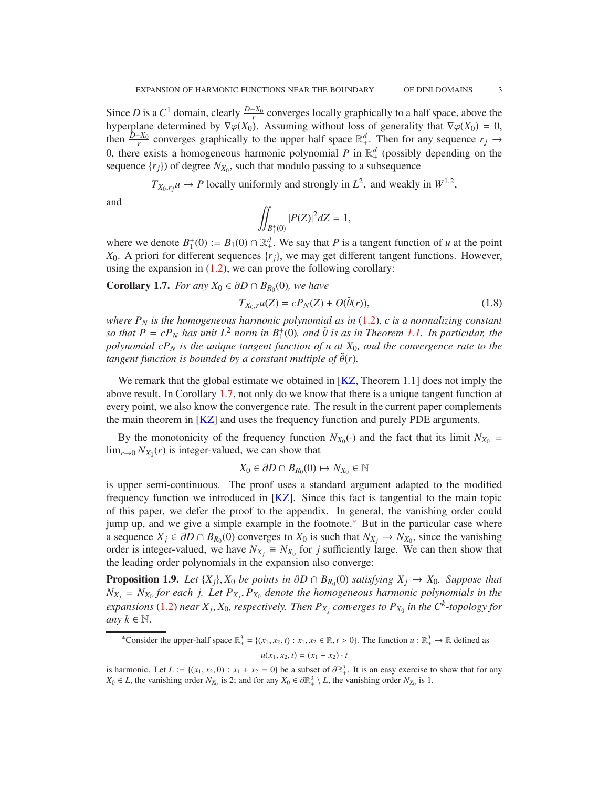<span id="page-2-4"></span>Since *D* is a  $C^1$  domain, clearly  $\frac{D-X_0}{r}$  converges locally graphically to a half space, above the hyperplane determined by  $\nabla \varphi(X_0)$ . Assuming without loss of generality that  $\nabla \varphi(X_0) = 0$ , then  $\frac{\bar{D}-X_0}{r}$  converges graphically to the upper half space  $\mathbb{R}^d_+$ . Then for any sequence  $r_j \to$ 0, there exists a homogeneous harmonic polynomial P in  $\mathbb{R}^d$  (possibly depending on the sequence  $\{r_j\}$  of degree  $N_{X_0}$ , such that modulo passing to a subsequence

 $T_{X_0,r_j}u \to P$  locally uniformly and strongly in  $L^2$ , and weakly in  $W^{1,2}$ ,

and

$$
\iint_{B_1^+(0)} |P(Z)|^2 dZ = 1,
$$

where we denote  $B_1^+$  $j_1^+(0) := B_1(0) \cap \mathbb{R}_+^d$ . We say that *P* is a tangent function of *u* at the point *X*0. A priori for different sequences {*rj*}, we may get different tangent functions. However, using the expansion in  $(1.2)$ , we can prove the following corollary:

<span id="page-2-0"></span>**Corollary 1.7.** *For any*  $X_0$  ∈  $\partial D \cap B_{R_0}(0)$ *, we have* 

<span id="page-2-3"></span>
$$
T_{X_0,r}u(Z) = cP_N(Z) + O(\tilde{\theta}(r)),\tag{1.8}
$$

*where P<sup>N</sup> is the homogeneous harmonic polynomial as in* [\(1.2\)](#page-1-2)*, c is a normalizing constant so that*  $P = cP_N$  *has unit*  $L^2$  *norm in*  $B_1^+(0)$ *, and*  $\tilde{\theta}$  *is as in Theorem [1.1.](#page-0-0) In particular, the polynomial cP<sup>N</sup> is the unique tangent function of u at X*0*, and the convergence rate to the tangent function is bounded by a constant multiple of*  $\tilde{\theta}(r)$ *.* 

We remark that the global estimate we obtained in [\[KZ,](#page-30-5) Theorem 1.1] does not imply the above result. In Corollary [1.7,](#page-2-0) not only do we know that there is a unique tangent function at every point, we also know the convergence rate. The result in the current paper complements the main theorem in [\[KZ\]](#page-30-5) and uses the frequency function and purely PDE arguments.

By the monotonicity of the frequency function  $N_{X_0}(\cdot)$  and the fact that its limit  $N_{X_0}$  =  $\lim_{r\to 0} N_{X_0}(r)$  is integer-valued, we can show that

$$
X_0 \in \partial D \cap B_{R_0}(0) \mapsto N_{X_0} \in \mathbb{N}
$$

is upper semi-continuous. The proof uses a standard argument adapted to the modified frequency function we introduced in [\[KZ\]](#page-30-5). Since this fact is tangential to the main topic of this paper, we defer the proof to the appendix. In general, the vanishing order could jump up, and we give a simple example in the footnote.[\\*](#page-2-1) But in the particular case where a sequence  $X_j$  ∈  $\partial D \cap B_{R_0}(0)$  converges to  $X_0$  is such that  $N_{X_j}$  →  $N_{X_0}$ , since the vanishing order is integer-valued, we have  $N_{X_j} \equiv N_{X_0}$  for *j* sufficiently large. We can then show that the leading order polynomials in the expansion also converge:

<span id="page-2-2"></span>**Proposition 1.9.** *Let*  $\{X_j\}$ ,  $X_0$  *be points in*  $\partial D \cap B_{R_0}(0)$  *satisfying*  $X_j \to X_0$ *. Suppose that*  $N_{X_j} = N_{X_0}$  for each j. Let  $P_{X_j}, P_{X_0}$  denote the homogeneous harmonic polynomials in the *expansions* [\(1.2\)](#page-1-2) *near*  $X_j$ ,  $X_0$ , *respectively. Then*  $P_{X_j}$  *converges to*  $P_{X_0}$  *in the*  $C^k$ -topology for *any*  $k \in \mathbb{N}$ .

<span id="page-2-1"></span>\*Consider the upper-half space  $\mathbb{R}^3_+ = \{(x_1, x_2, t) : x_1, x_2 \in \mathbb{R}, t > 0\}$ . The function  $u : \mathbb{R}^3_+ \to \mathbb{R}$  defined as  $u(x_1, x_2, t) = (x_1 + x_2) \cdot t$ 

is harmonic. Let  $L := \{(x_1, x_2, 0) : x_1 + x_2 = 0\}$  be a subset of  $\partial \mathbb{R}^3_+$ . It is an easy exercise to show that for any *X*<sup>0</sup> ∈ *L*, the vanishing order *N*<sub>*X*<sup>0</sup></sub> is 2; and for any *X*<sup>0</sup> ∈  $\partial \mathbb{R}^3$  / *L*, the vanishing order *N*<sub>*X*<sup>0</sup></sub> is 1.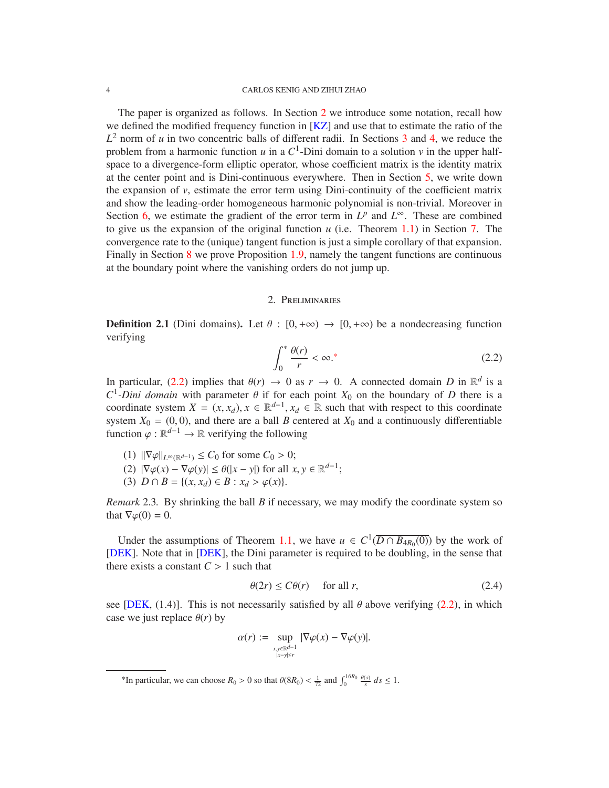<span id="page-3-5"></span>The paper is organized as follows. In Section [2](#page-3-1) we introduce some notation, recall how we defined the modified frequency function in [\[KZ\]](#page-30-5) and use that to estimate the ratio of the  $L^2$  norm of *u* in two concentric balls of different radii. In Sections [3](#page-6-0) and [4,](#page-8-0) we reduce the problem from a harmonic function  $u$  in a  $C^1$ -Dini domain to a solution  $v$  in the upper halfspace to a divergence-form elliptic operator, whose coefficient matrix is the identity matrix at the center point and is Dini-continuous everywhere. Then in Section [5,](#page-12-0) we write down the expansion of *v*, estimate the error term using Dini-continuity of the coefficient matrix and show the leading-order homogeneous harmonic polynomial is non-trivial. Moreover in Section [6,](#page-19-0) we estimate the gradient of the error term in  $L^p$  and  $L^\infty$ . These are combined to give us the expansion of the original function *u* (i.e. Theorem [1.1\)](#page-0-0) in Section [7.](#page-22-0) The convergence rate to the (unique) tangent function is just a simple corollary of that expansion. Finally in Section [8](#page-25-0) we prove Proposition [1.9,](#page-2-2) namely the tangent functions are continuous at the boundary point where the vanishing orders do not jump up.

## 2. Preliminaries

<span id="page-3-1"></span><span id="page-3-0"></span>**Definition 2.1** (Dini domains). Let  $\theta : [0, +\infty) \rightarrow [0, +\infty)$  be a nondecreasing function verifying

<span id="page-3-3"></span>
$$
\int_0^* \frac{\theta(r)}{r} < \infty.^\ast \tag{2.2}
$$

In particular, [\(2.2\)](#page-3-3) implies that  $\theta(r) \to 0$  as  $r \to 0$ . A connected domain *D* in  $\mathbb{R}^d$  is a  $C^1$ -*Dini domain* with parameter  $\theta$  if for each point  $X_0$  on the boundary of *D* there is a coordinate system  $X = (x, x_d)$ ,  $x \in \mathbb{R}^{d-1}$ ,  $x_d \in \mathbb{R}$  such that with respect to this coordinate system  $X_0 = (0, 0)$ , and there are a ball *B* centered at  $X_0$  and a continuously differentiable function  $\varphi : \mathbb{R}^{d-1} \to \mathbb{R}$  verifying the following

- (1)  $\|\nabla \varphi\|_{L^{\infty}(\mathbb{R}^{d-1})}$  ≤ *C*<sub>0</sub> for some *C*<sub>0</sub> > 0;
- (2)  $|\nabla \varphi(x) \nabla \varphi(y)| \le \theta(|x y|)$  for all  $x, y \in \mathbb{R}^{d-1}$ ;
- (3)  $D \cap B = \{(x, x_d) \in B : x_d > \varphi(x)\}.$

*Remark* 2.3*.* By shrinking the ball *B* if necessary, we may modify the coordinate system so that  $\nabla \varphi(0) = 0$ .

Under the assumptions of Theorem [1.1,](#page-0-0) we have *u* ∈  $C^1(\overline{D \cap B_{4R_0}(0)})$  by the work of [\[DEK\]](#page-30-7). Note that in [\[DEK\]](#page-30-7), the Dini parameter is required to be doubling, in the sense that there exists a constant  $C > 1$  such that

<span id="page-3-4"></span>
$$
\theta(2r) \le C\theta(r) \quad \text{for all } r,\tag{2.4}
$$

see [\[DEK,](#page-30-7) (1.4)]. This is not necessarily satisfied by all  $\theta$  above verifying [\(2.2\)](#page-3-3), in which case we just replace  $\theta(r)$  by

$$
\alpha(r) := \sup_{\substack{x,y \in \mathbb{R}^{d-1} \\ |x-y| \le r}} |\nabla \varphi(x) - \nabla \varphi(y)|.
$$

<span id="page-3-2"></span><sup>&</sup>lt;sup>\*</sup>In particular, we can choose  $R_0 > 0$  so that  $\theta(8R_0) < \frac{1}{72}$  and  $\int_0^{16R_0} \frac{\theta(s)}{s} ds \le 1$ .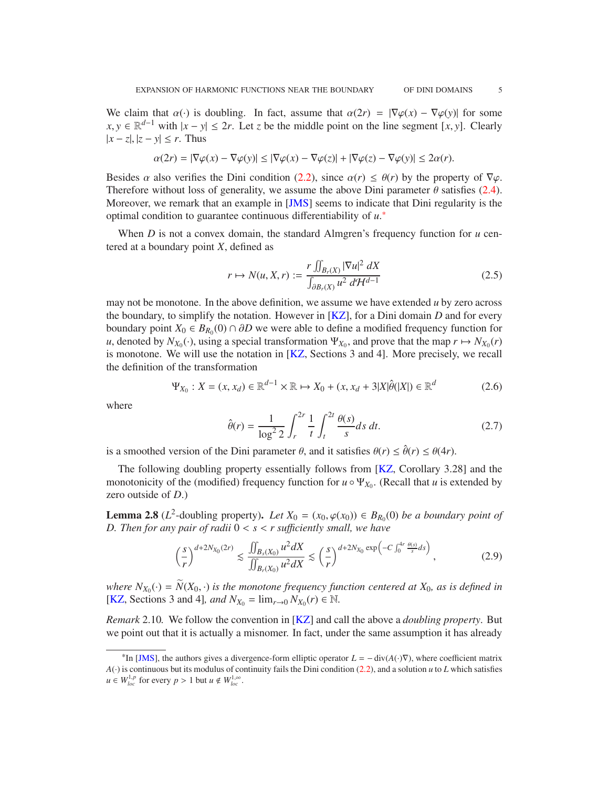<span id="page-4-6"></span>We claim that  $\alpha(\cdot)$  is doubling. In fact, assume that  $\alpha(2r) = |\nabla \varphi(x) - \nabla \varphi(y)|$  for some *x*, *y* ∈  $\mathbb{R}^{d-1}$  with  $|x - y| \leq 2r$ . Let *z* be the middle point on the line segment [*x*, *y*]. Clearly  $|x - z|$ ,  $|z - y|$  ≤ *r*. Thus

$$
\alpha(2r) = |\nabla \varphi(x) - \nabla \varphi(y)| \le |\nabla \varphi(x) - \nabla \varphi(z)| + |\nabla \varphi(z) - \nabla \varphi(y)| \le 2\alpha(r).
$$

Besides  $\alpha$  also verifies the Dini condition [\(2.2\)](#page-3-3), since  $\alpha(r) \leq \theta(r)$  by the property of  $\nabla \varphi$ . Therefore without loss of generality, we assume the above Dini parameter  $\theta$  satisfies [\(2.4\)](#page-3-4). Moreover, we remark that an example in [\[JMS\]](#page-30-8) seems to indicate that Dini regularity is the optimal condition to guarantee continuous differentiability of *u*. [\\*](#page-4-1)

When *D* is not a convex domain, the standard Almgren's frequency function for *u* centered at a boundary point *X*, defined as

<span id="page-4-5"></span>
$$
r \mapsto N(u, X, r) := \frac{r \iint_{B_r(X)} |\nabla u|^2 dX}{\int_{\partial B_r(X)} u^2 d\mathcal{H}^{d-1}}
$$
(2.5)

may not be monotone. In the above definition, we assume we have extended  $u$  by zero across the boundary, to simplify the notation. However in [\[KZ\]](#page-30-5), for a Dini domain *D* and for every boundary point  $X_0 \in B_{R_0}(0) \cap \partial D$  we were able to define a modified frequency function for *u*, denoted by  $N_{X_0}(\cdot)$ , using a special transformation  $\Psi_{X_0}$ , and prove that the map  $r \mapsto N_{X_0}(r)$ is monotone. We will use the notation in [\[KZ,](#page-30-5) Sections 3 and 4]. More precisely, we recall the definition of the transformation

<span id="page-4-4"></span>
$$
\Psi_{X_0} : X = (x, x_d) \in \mathbb{R}^{d-1} \times \mathbb{R} \mapsto X_0 + (x, x_d + 3|X|\hat{\theta}(|X|) \in \mathbb{R}^d \tag{2.6}
$$

where

<span id="page-4-2"></span>
$$
\hat{\theta}(r) = \frac{1}{\log^2 2} \int_r^{2r} \frac{1}{t} \int_t^{2t} \frac{\theta(s)}{s} ds \, dt. \tag{2.7}
$$

is a smoothed version of the Dini parameter  $\theta$ , and it satisfies  $\theta(r) \leq \hat{\theta}(r) \leq \theta(4r)$ .

The following doubling property essentially follows from [\[KZ,](#page-30-5) Corollary 3.28] and the monotonicity of the (modified) frequency function for  $u \circ \Psi_{X_0}$ . (Recall that *u* is extended by zero outside of *D*.)

<span id="page-4-0"></span>**Lemma 2.8** ( $L^2$ -doubling property). *Let*  $X_0 = (x_0, \varphi(x_0)) \in B_{R_0}(0)$  *be a boundary point of D. Then for any pair of radii*  $0 < s < r$  *sufficiently small, we have* 

<span id="page-4-3"></span>
$$
\left(\frac{s}{r}\right)^{d+2N_{X_0}(2r)} \lesssim \frac{\iint_{B_s(X_0)} u^2 dX}{\iint_{B_r(X_0)} u^2 dX} \lesssim \left(\frac{s}{r}\right)^{d+2N_{X_0} \exp\left(-C \int_0^{4r} \frac{\theta(s)}{s} ds\right)},
$$
\n(2.9)

*where*  $N_{X_0}(\cdot) = \widetilde{N}(X_0, \cdot)$  *is the monotone frequency function centered at*  $X_0$ *, as is defined in* [\[KZ,](#page-30-5) Sections 3 and 4]*, and*  $N_{X_0} = \lim_{r \to 0} N_{X_0}(r) \in \mathbb{N}$ *.* 

*Remark* 2.10*.* We follow the convention in [\[KZ\]](#page-30-5) and call the above a *doubling property*. But we point out that it is actually a misnomer. In fact, under the same assumption it has already

<span id="page-4-1"></span><sup>&</sup>lt;sup>\*</sup>In [\[JMS\]](#page-30-8), the authors gives a divergence-form elliptic operator  $L = -\text{div}(A(\cdot)\nabla)$ , where coefficient matrix  $A(\cdot)$  is continuous but its modulus of continuity fails the Dini condition [\(2.2\)](#page-3-3), and a solution *u* to *L* which satisfies  $u \in W_{loc}^{1,p}$  for every  $p > 1$  but  $u \notin W_{loc}^{1,\infty}$ .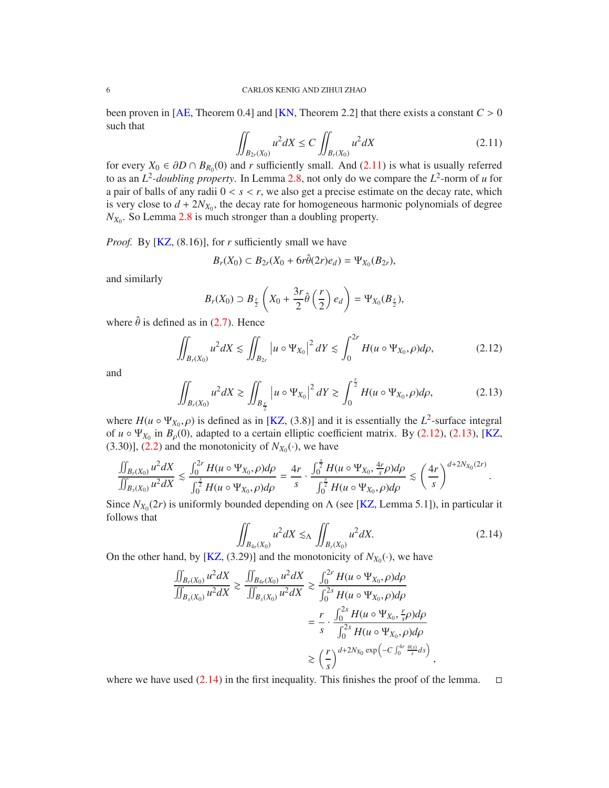<span id="page-5-4"></span>been proven in [\[AE,](#page-30-3) Theorem 0.4] and [\[KN,](#page-30-4) Theorem 2.2] that there exists a constant  $C > 0$ such that

<span id="page-5-0"></span>
$$
\iint_{B_{2r}(X_0)} u^2 dX \le C \iint_{B_r(X_0)} u^2 dX \tag{2.11}
$$

for every  $X_0 \in \partial D \cap B_{R_0}(0)$  and *r* sufficiently small. And [\(2.11\)](#page-5-0) is what is usually referred to as an *L* 2 *-doubling property*. In Lemma [2.8,](#page-4-0) not only do we compare the *L* 2 -norm of *u* for a pair of balls of any radii  $0 < s < r$ , we also get a precise estimate on the decay rate, which is very close to  $d + 2N_{X_0}$ , the decay rate for homogeneous harmonic polynomials of degree  $N_{X_0}$ . So Lemma [2.8](#page-4-0) is much stronger than a doubling property.

*Proof.* By [\[KZ,](#page-30-5) (8.16)], for *r* sufficiently small we have

$$
B_r(X_0) \subset B_{2r}(X_0 + 6r\hat{\theta}(2r)e_d) = \Psi_{X_0}(B_{2r}),
$$

and similarly

$$
B_r(X_0) \supset B_{\frac{r}{2}}\left(X_0 + \frac{3r}{2}\hat{\theta}\left(\frac{r}{2}\right)e_d\right) = \Psi_{X_0}(B_{\frac{r}{2}}),
$$

where  $\hat{\theta}$  is defined as in [\(2.7\)](#page-4-2). Hence

<span id="page-5-1"></span>
$$
\iint_{B_r(X_0)} u^2 dX \le \iint_{B_{2r}} |u \circ \Psi_{X_0}|^2 dY \le \int_0^{2r} H(u \circ \Psi_{X_0}, \rho) d\rho, \tag{2.12}
$$

and

<span id="page-5-2"></span>
$$
\iint_{B_r(X_0)} u^2 dX \gtrsim \iint_{B_{\frac{r}{2}}} |u \circ \Psi_{X_0}|^2 dY \gtrsim \int_0^{\frac{r}{2}} H(u \circ \Psi_{X_0}, \rho) d\rho, \tag{2.13}
$$

where  $H(u \circ \Psi_{X_0}, \rho)$  is defined as in [\[KZ,](#page-30-5) (3.8)] and it is essentially the  $L^2$ -surface integral of  $u \circ \Psi_{X_0}$  in  $B_\rho(0)$ , adapted to a certain elliptic coefficient matrix. By [\(2.12\)](#page-5-1), [\(2.13\)](#page-5-2), [\[KZ,](#page-30-5)  $(3.30)$ ],  $(2.2)$  and the monotonicity of  $N_{X_0}(\cdot)$ , we have

$$
\frac{\iint_{B_r(X_0)} u^2 dX}{\iint_{B_s(X_0)} u^2 dX} \lesssim \frac{\int_0^{2r} H(u \circ \Psi_{X_0}, \rho) d\rho}{\int_0^{\frac{s}{2}} H(u \circ \Psi_{X_0}, \rho) d\rho} = \frac{4r}{s} \cdot \frac{\int_0^{\frac{s}{2}} H(u \circ \Psi_{X_0}, \frac{4r}{s}\rho) d\rho}{\int_0^{\frac{s}{2}} H(u \circ \Psi_{X_0}, \rho) d\rho} \lesssim \left(\frac{4r}{s}\right)^{d+2N_{X_0}(2r)}.
$$

Since  $N_{X_0}(2r)$  is uniformly bounded depending on  $\Lambda$  (see [\[KZ,](#page-30-5) Lemma 5.1]), in particular it follows that

<span id="page-5-3"></span>
$$
\iint_{B_{4r}(X_0)} u^2 dX \lesssim_{\Lambda} \iint_{B_r(X_0)} u^2 dX. \tag{2.14}
$$

On the other hand, by [\[KZ,](#page-30-5) (3.29)] and the monotonicity of  $N_{X_0}(\cdot)$ , we have

$$
\frac{\iint_{B_r(X_0)} u^2 dX}{\iint_{B_s(X_0)} u^2 dX} \ge \frac{\iint_{B_{4r}(X_0)} u^2 dX}{\iint_{B_s(X_0)} u^2 dX} \ge \frac{\int_0^{2r} H(u \circ \Psi_{X_0}, \rho) d\rho}{\int_0^{2s} H(u \circ \Psi_{X_0}, \rho) d\rho}
$$

$$
= \frac{r}{s} \cdot \frac{\int_0^{2s} H(u \circ \Psi_{X_0}, \frac{r}{s}\rho) d\rho}{\int_0^{2s} H(u \circ \Psi_{X_0}, \rho) d\rho}
$$

$$
\ge \left(\frac{r}{s}\right)^{d+2N_{X_0} \exp\left(-C \int_0^{4r} \frac{\theta(s)}{s} ds\right)},
$$

where we have used [\(2.14\)](#page-5-3) in the first inequality. This finishes the proof of the lemma.  $\square$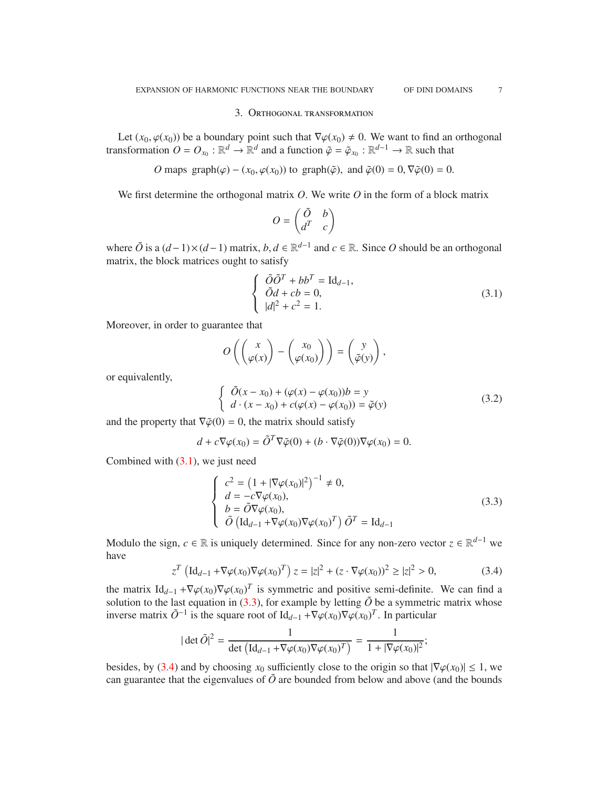#### 3. Orthogonal transformation

<span id="page-6-0"></span>Let  $(x_0, \varphi(x_0))$  be a boundary point such that  $\nabla \varphi(x_0) \neq 0$ . We want to find an orthogonal transformation  $O = O_{x_0} : \mathbb{R}^d \to \mathbb{R}^d$  and a function  $\tilde{\varphi} = \tilde{\varphi}_{x_0} : \mathbb{R}^{d-1} \to \mathbb{R}$  such that

*O* maps graph $(\varphi) - (x_0, \varphi(x_0))$  to graph $(\tilde{\varphi})$ , and  $\tilde{\varphi}(0) = 0$ ,  $\nabla \tilde{\varphi}(0) = 0$ .

We first determine the orthogonal matrix *O*. We write *O* in the form of a block matrix

$$
O=\begin{pmatrix}\tilde{O} & b \\ d^T & c\end{pmatrix}
$$

where  $\tilde{O}$  is a  $(d-1) \times (d-1)$  matrix,  $b, d \in \mathbb{R}^{d-1}$  and  $c \in \mathbb{R}$ . Since *O* should be an orthogonal matrix, the block matrices ought to satisfy

<span id="page-6-1"></span>
$$
\begin{cases}\n\tilde{O}\tilde{O}^T + bb^T = \text{Id}_{d-1}, \\
\tilde{O}d + cb = 0, \\
|d|^2 + c^2 = 1.\n\end{cases} (3.1)
$$

Moreover, in order to guarantee that

$$
O\left(\begin{pmatrix} x \\ \varphi(x) \end{pmatrix} - \begin{pmatrix} x_0 \\ \varphi(x_0) \end{pmatrix} \right) = \begin{pmatrix} y \\ \tilde{\varphi}(y) \end{pmatrix},
$$

or equivalently,

<span id="page-6-4"></span>
$$
\begin{cases}\n\tilde{O}(x - x_0) + (\varphi(x) - \varphi(x_0))b = y \\
d \cdot (x - x_0) + c(\varphi(x) - \varphi(x_0)) = \tilde{\varphi}(y)\n\end{cases}
$$
\n(3.2)

and the property that  $\nabla \tilde{\varphi}(0) = 0$ , the matrix should satisfy

$$
d + c \nabla \varphi(x_0) = \tilde{O}^T \nabla \tilde{\varphi}(0) + (b \cdot \nabla \tilde{\varphi}(0)) \nabla \varphi(x_0) = 0.
$$

Combined with  $(3.1)$ , we just need

<span id="page-6-2"></span>
$$
\begin{cases}\nc^2 = \left(1 + |\nabla \varphi(x_0)|^2\right)^{-1} \neq 0, \\
d = -c\nabla \varphi(x_0), \\
b = \tilde{O}\nabla \varphi(x_0), \\
\tilde{O}\left(\text{Id}_{d-1} + \nabla \varphi(x_0)\nabla \varphi(x_0)^T\right)\tilde{O}^T = \text{Id}_{d-1}\n\end{cases} \tag{3.3}
$$

Modulo the sign,  $c \in \mathbb{R}$  is uniquely determined. Since for any non-zero vector  $z \in \mathbb{R}^{d-1}$  we have

<span id="page-6-3"></span>
$$
z^{T} \left( \mathrm{Id}_{d-1} + \nabla \varphi(x_{0}) \nabla \varphi(x_{0})^{T} \right) z = |z|^{2} + (z \cdot \nabla \varphi(x_{0}))^{2} \ge |z|^{2} > 0,
$$
 (3.4)

the matrix  $\text{Id}_{d-1} + \nabla \varphi(x_0) \nabla \varphi(x_0)^T$  is symmetric and positive semi-definite. We can find a solution to the last equation in  $(3.3)$ , for example by letting  $\tilde{O}$  be a symmetric matrix whose inverse matrix  $\tilde{O}^{-1}$  is the square root of Id<sub>d−1</sub> + $\nabla \varphi(x_0) \nabla \varphi(x_0)^T$ . In particular

$$
|\det \tilde{O}|^2 = \frac{1}{\det (Id_{d-1} + \nabla \varphi(x_0) \nabla \varphi(x_0)^T)} = \frac{1}{1 + |\nabla \varphi(x_0)|^2};
$$

besides, by [\(3.4\)](#page-6-3) and by choosing  $x_0$  sufficiently close to the origin so that  $|\nabla \varphi(x_0)| \le 1$ , we can guarantee that the eigenvalues of  $\tilde{O}$  are bounded from below and above (and the bounds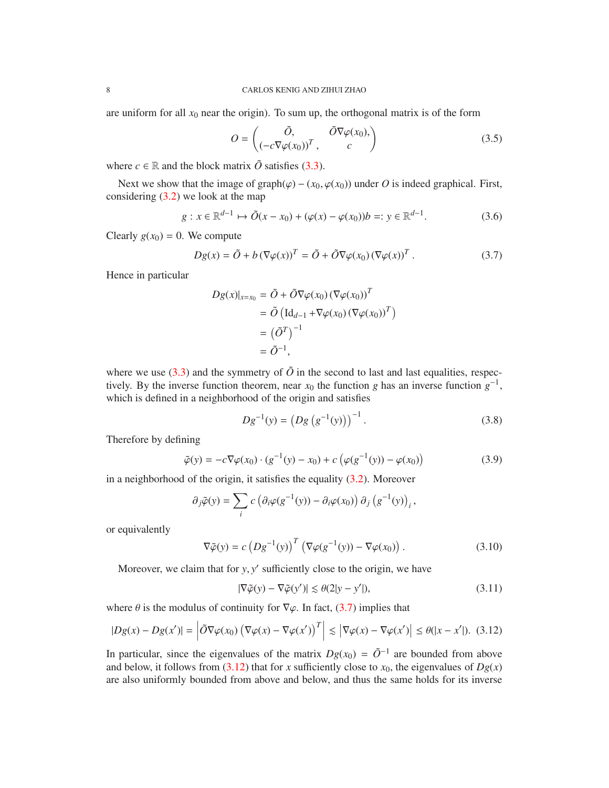are uniform for all  $x_0$  near the origin). To sum up, the orthogonal matrix is of the form

<span id="page-7-5"></span>
$$
O = \begin{pmatrix} \tilde{O}, & \tilde{O}\nabla\varphi(x_0), \\ (-c\nabla\varphi(x_0))^T, & c \end{pmatrix}
$$
 (3.5)

where  $c \in \mathbb{R}$  and the block matrix  $\tilde{O}$  satisfies [\(3.3\)](#page-6-2).

Next we show that the image of graph( $\varphi$ ) – ( $x_0$ ,  $\varphi(x_0)$ ) under *O* is indeed graphical. First, considering [\(3.2\)](#page-6-4) we look at the map

<span id="page-7-7"></span>
$$
g: x \in \mathbb{R}^{d-1} \mapsto \tilde{O}(x - x_0) + (\varphi(x) - \varphi(x_0))b =: y \in \mathbb{R}^{d-1}.
$$
 (3.6)

Clearly  $g(x_0) = 0$ . We compute

<span id="page-7-0"></span>
$$
Dg(x) = \tilde{O} + b(\nabla \varphi(x))^T = \tilde{O} + \tilde{O}\nabla \varphi(x_0) (\nabla \varphi(x))^T.
$$
 (3.7)

Hence in particular

$$
Dg(x)|_{x=x_0} = \tilde{O} + \tilde{O}\nabla\varphi(x_0) (\nabla\varphi(x_0))^T
$$
  
=  $\tilde{O} (\text{Id}_{d-1} + \nabla\varphi(x_0) (\nabla\varphi(x_0))^T)$   
=  $({\tilde{O}}^T)^{-1}$   
=  $\tilde{O}^{-1}$ ,

where we use  $(3.3)$  and the symmetry of  $\tilde{O}$  in the second to last and last equalities, respectively. By the inverse function theorem, near  $x_0$  the function *g* has an inverse function  $g^{-1}$ , which is defined in a neighborhood of the origin and satisfies

<span id="page-7-2"></span>
$$
Dg^{-1}(y) = (Dg(g^{-1}(y)))^{-1}.
$$
 (3.8)

Therefore by defining

<span id="page-7-6"></span>
$$
\tilde{\varphi}(y) = -c \nabla \varphi(x_0) \cdot (g^{-1}(y) - x_0) + c \left( \varphi(g^{-1}(y)) - \varphi(x_0) \right)
$$
(3.9)

in a neighborhood of the origin, it satisfies the equality [\(3.2\)](#page-6-4). Moreover

$$
\partial_j \tilde{\varphi}(y) = \sum_i c \left( \partial_i \varphi(g^{-1}(y)) - \partial_i \varphi(x_0) \right) \partial_j \left( g^{-1}(y) \right)_i,
$$

or equivalently

<span id="page-7-3"></span>
$$
\nabla \tilde{\varphi}(y) = c \left( D g^{-1}(y) \right)^T \left( \nabla \varphi(g^{-1}(y)) - \nabla \varphi(x_0) \right). \tag{3.10}
$$

Moreover, we claim that for *y*, *y'* sufficiently close to the origin, we have

<span id="page-7-4"></span>
$$
|\nabla \tilde{\varphi}(y) - \nabla \tilde{\varphi}(y')| \le \theta(2|y - y'|),\tag{3.11}
$$

where  $\theta$  is the modulus of continuity for  $\nabla \varphi$ . In fact, [\(3.7\)](#page-7-0) implies that

<span id="page-7-1"></span>
$$
|Dg(x) - Dg(x')| = \left| \tilde{O} \nabla \varphi(x_0) \left( \nabla \varphi(x) - \nabla \varphi(x') \right)^T \right| \lesssim \left| \nabla \varphi(x) - \nabla \varphi(x') \right| \le \theta(|x - x'|). \tag{3.12}
$$

In particular, since the eigenvalues of the matrix  $Dg(x_0) = \tilde{O}^{-1}$  are bounded from above and below, it follows from [\(3.12\)](#page-7-1) that for *x* sufficiently close to  $x_0$ , the eigenvalues of  $Dg(x)$ are also uniformly bounded from above and below, and thus the same holds for its inverse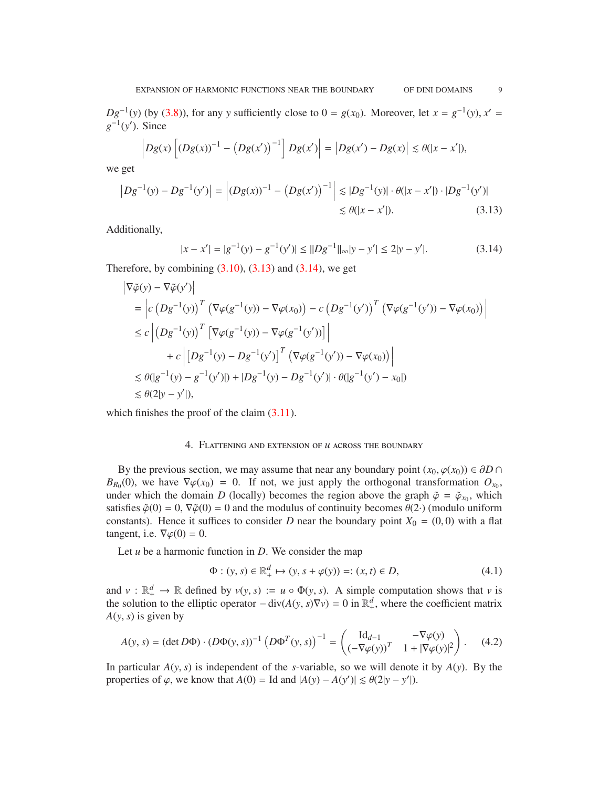*Dg*<sup>-1</sup>(*y*) (by [\(3.8\)](#page-7-2)), for any *y* sufficiently close to 0 = *g*(*x*<sub>0</sub>). Moreover, let *x* = *g*<sup>-1</sup>(*y*), *x*<sup>'</sup> =  $g^{-1}(y')$ . Since

$$
\left|Dg(x)\left[(Dg(x))^{-1} - (Dg(x'))^{-1}\right]Dg(x')\right| = \left|Dg(x') - Dg(x)\right| \leq \theta(|x - x'|),
$$

we get

$$
\left|Dg^{-1}(y) - Dg^{-1}(y')\right| = \left| (Dg(x))^{-1} - \left(Dg(x')\right)^{-1} \right| \lesssim |Dg^{-1}(y)| \cdot \theta(|x - x'|) \cdot |Dg^{-1}(y')|
$$
  
\$\leq \theta(|x - x'|). \tag{3.13}

Additionally,

<span id="page-8-2"></span><span id="page-8-1"></span>
$$
|x - x'| = |g^{-1}(y) - g^{-1}(y')| \le ||Dg^{-1}||_{\infty}|y - y'| \le 2|y - y'|.
$$
 (3.14)

Therefore, by combining  $(3.10)$ ,  $(3.13)$  and  $(3.14)$ , we get

$$
\begin{split}\n\left|\nabla \tilde{\varphi}(y) - \nabla \tilde{\varphi}(y')\right| \\
&= \left| c \left(Dg^{-1}(y)\right)^T \left(\nabla \varphi(g^{-1}(y)) - \nabla \varphi(x_0)\right) - c \left(Dg^{-1}(y')\right)^T \left(\nabla \varphi(g^{-1}(y')) - \nabla \varphi(x_0)\right) \right| \\
&\leq c \left| \left(Dg^{-1}(y)\right)^T \left[\nabla \varphi(g^{-1}(y)) - \nabla \varphi(g^{-1}(y'))\right] \right| \\
&\quad + c \left| \left[Dg^{-1}(y) - Dg^{-1}(y')\right]^T \left(\nabla \varphi(g^{-1}(y')) - \nabla \varphi(x_0)\right) \right| \\
&\leq \theta(|g^{-1}(y) - g^{-1}(y')|) + |Dg^{-1}(y) - Dg^{-1}(y')| \cdot \theta(|g^{-1}(y') - x_0|) \\
&\leq \theta(2|y - y'|),\n\end{split}
$$

<span id="page-8-0"></span>which finishes the proof of the claim  $(3.11)$ .

## 4. Flattening and extension of *u* across the boundary

By the previous section, we may assume that near any boundary point  $(x_0, \varphi(x_0)) \in \partial D \cap$  $B_{R_0}(0)$ , we have  $\nabla \varphi(x_0) = 0$ . If not, we just apply the orthogonal transformation  $O_{x_0}$ , under which the domain *D* (locally) becomes the region above the graph  $\tilde{\varphi} = \tilde{\varphi}_{x_0}$ , which satisfies  $\tilde{\varphi}(0) = 0$ ,  $\nabla \tilde{\varphi}(0) = 0$  and the modulus of continuity becomes  $\theta(2)$  (modulo uniform constants). Hence it suffices to consider *D* near the boundary point  $X_0 = (0, 0)$  with a flat tangent, i.e.  $\nabla \varphi(0) = 0$ .

Let *u* be a harmonic function in *D*. We consider the map

$$
\Phi : (y, s) \in \mathbb{R}^d_+ \mapsto (y, s + \varphi(y)) =: (x, t) \in D,\tag{4.1}
$$

and  $v : \mathbb{R}^d_+ \to \mathbb{R}$  defined by  $v(y, s) := u \circ \Phi(y, s)$ . A simple computation shows that *v* is the solution to the elliptic operator  $-\text{div}(A(y, s)\nabla v) = 0$  in  $\mathbb{R}^d_+$ , where the coefficient matrix *A*(*y*, *s*) is given by

$$
A(y, s) = (\det D\Phi) \cdot (D\Phi(y, s))^{-1} (D\Phi^T(y, s))^{-1} = \begin{pmatrix} \mathrm{Id}_{d-1} & -\nabla \varphi(y) \\ (-\nabla \varphi(y))^T & 1 + |\nabla \varphi(y)|^2 \end{pmatrix}.
$$
 (4.2)

In particular *A*(*y*, *s*) is independent of the *s*-variable, so we will denote it by *A*(*y*). By the properties of  $\varphi$ , we know that  $A(0) =$  Id and  $|A(y) - A(y')| \leq \theta(2|y - y'|)$ .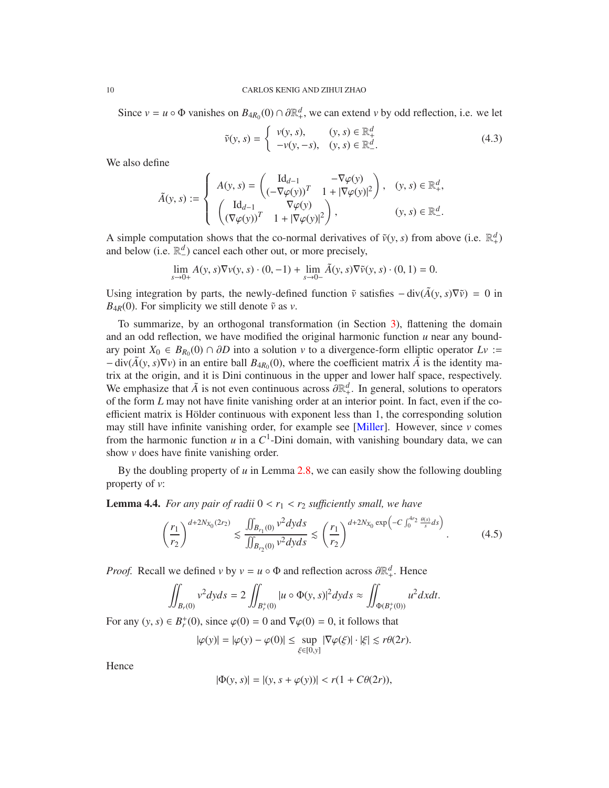Since  $v = u \circ \Phi$  vanishes on  $B_{4R_0}(0) \cap \partial \mathbb{R}^d_+$ , we can extend *v* by odd reflection, i.e. we let

<span id="page-9-2"></span>
$$
\tilde{v}(y, s) = \begin{cases} v(y, s), & (y, s) \in \mathbb{R}_+^d \\ -v(y, -s), & (y, s) \in \mathbb{R}_-^d. \end{cases}
$$
\n(4.3)

We also define

$$
\tilde{A}(y, s) := \begin{cases}\nA(y, s) = \begin{pmatrix} \mathrm{Id}_{d-1} & -\nabla \varphi(y) \\ (-\nabla \varphi(y))^T & 1 + |\nabla \varphi(y)|^2 \end{pmatrix}, & (y, s) \in \mathbb{R}^d_+, \\
\begin{pmatrix} \mathrm{Id}_{d-1} & \nabla \varphi(y) \\ (\nabla \varphi(y))^T & 1 + |\nabla \varphi(y)|^2 \end{pmatrix}, & (y, s) \in \mathbb{R}^d_-. \n\end{cases}
$$

A simple computation shows that the co-normal derivatives of  $\tilde{v}(y, s)$  from above (i.e.  $\mathbb{R}^d_+$ ) and below (i.e.  $\mathbb{R}^d$ ) cancel each other out, or more precisely,

$$
\lim_{s \to 0+} A(y, s) \nabla v(y, s) \cdot (0, -1) + \lim_{s \to 0-} \tilde{A}(y, s) \nabla \tilde{v}(y, s) \cdot (0, 1) = 0.
$$

Using integration by parts, the newly-defined function  $\tilde{v}$  satisfies  $-\text{div}(\tilde{A}(v, s)\nabla \tilde{v}) = 0$  in  $B_{4R}(0)$ . For simplicity we still denote  $\tilde{v}$  as *v*.

To summarize, by an orthogonal transformation (in Section [3\)](#page-6-0), flattening the domain and an odd reflection, we have modified the original harmonic function  $u$  near any boundary point *X*<sup>0</sup> ∈ *B*<sub>*R*<sup>0</sub></sub>(0) ∩ ∂*D* into a solution *v* to a divergence-form elliptic operator *Lv* :=</sub></sup>  $-\text{div}(\tilde{A}(y, s)\nabla v)$  in an entire ball  $B_{4R_0}(0)$ , where the coefficient matrix  $\tilde{A}$  is the identity matrix at the origin, and it is Dini continuous in the upper and lower half space, respectively. We emphasize that  $\tilde{A}$  is not even continuous across  $\partial \mathbb{R}^d_+$ . In general, solutions to operators of the form *L* may not have finite vanishing order at an interior point. In fact, even if the coefficient matrix is Hölder continuous with exponent less than  $1$ , the corresponding solution may still have infinite vanishing order, for example see [\[Miller\]](#page-30-2). However, since *v* comes from the harmonic function  $u$  in a  $C^1$ -Dini domain, with vanishing boundary data, we can show *v* does have finite vanishing order.

By the doubling property of *u* in Lemma [2.8,](#page-4-0) we can easily show the following doubling property of *v*:

<span id="page-9-1"></span>**Lemma 4.4.** *For any pair of radii*  $0 < r_1 < r_2$  *sufficiently small, we have* 

<span id="page-9-0"></span>
$$
\left(\frac{r_1}{r_2}\right)^{d+2N_{X_0}(2r_2)} \lesssim \frac{\iint_{B_{r_1}(0)} v^2 dyds}{\iint_{B_{r_2}(0)} v^2 dyds} \lesssim \left(\frac{r_1}{r_2}\right)^{d+2N_{X_0}\exp\left(-C\int_0^{4r_2} \frac{\theta(s)}{s}ds\right)}.
$$
(4.5)

*Proof.* Recall we defined *v* by  $v = u \circ \Phi$  and reflection across  $\partial \mathbb{R}^d_+$ . Hence

$$
\iint_{B_r(0)} v^2 dy ds = 2 \iint_{B_r^+(0)} |u \circ \Phi(y, s)|^2 dy ds \approx \iint_{\Phi(B_r^+(0))} u^2 dx dt.
$$

For any  $(y, s) \in B_r^+$  $r_r^+(0)$ , since  $\varphi(0) = 0$  and  $\nabla \varphi(0) = 0$ , it follows that

$$
|\varphi(y)|=|\varphi(y)-\varphi(0)|\leq \sup_{\xi\in[0,y]}|\nabla\varphi(\xi)|\cdot|\xi|\lesssim r\theta(2r).
$$

Hence

$$
|\Phi(y, s)| = |(y, s + \varphi(y))| < r(1 + C\theta(2r)),
$$

<span id="page-9-3"></span>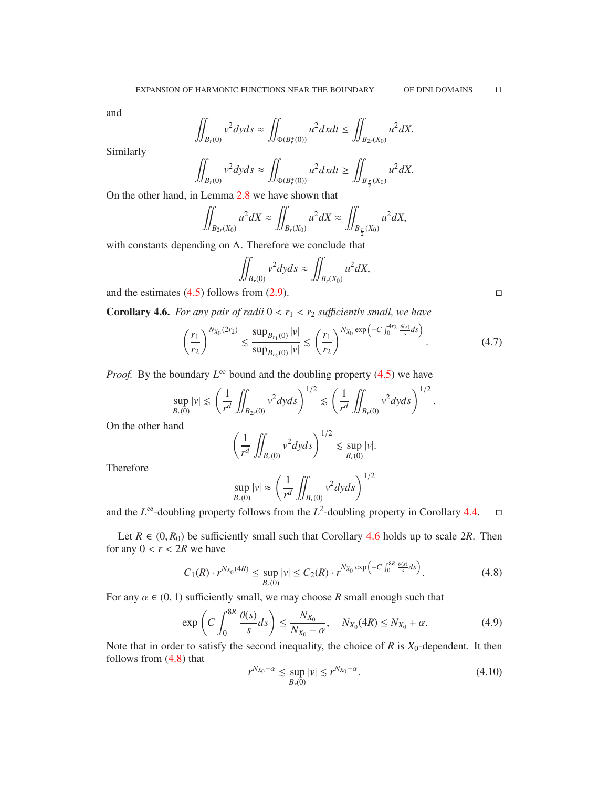and

$$
\iint_{B_r(0)} v^2 dy ds \approx \iint_{\Phi(B_r^+(0))} u^2 dx dt \le \iint_{B_{2r}(X_0)} u^2 dx.
$$

Similarly

$$
\iint_{B_r(0)} v^2 dyds \approx \iint_{\Phi(B_r^+(0))} u^2 dxdt \ge \iint_{B_{\frac{r}{2}}(X_0)} u^2 dx.
$$

On the other hand, in Lemma [2.8](#page-4-0) we have shown that

$$
\iint_{B_{2r}(X_0)} u^2 dX \approx \iint_{B_r(X_0)} u^2 dX \approx \iint_{B_{\frac{r}{2}}(X_0)} u^2 dX,
$$

with constants depending on  $\Lambda$ . Therefore we conclude that

$$
\iint_{B_r(0)} v^2 dy ds \approx \iint_{B_r(X_0)} u^2 dX,
$$

and the estimates  $(4.5)$  follows from  $(2.9)$ .

<span id="page-10-1"></span>**Corollary 4.6.** For any pair of radii  $0 < r_1 < r_2$  sufficiently small, we have

$$
\left(\frac{r_1}{r_2}\right)^{N_{X_0}(2r_2)} \lesssim \frac{\sup_{B_{r_1}(0)}|v|}{\sup_{B_{r_2}(0)}|v|} \lesssim \left(\frac{r_1}{r_2}\right)^{N_{X_0}\exp\left(-C\int_0^{4r_2}\frac{\theta(s)}{s}ds\right)}.
$$
\n(4.7)

*Proof.* By the boundary  $L^\infty$  bound and the doubling property [\(4.5\)](#page-9-0) we have

$$
\sup_{B_r(0)}|v| \lesssim \left(\frac{1}{r^d}\iint_{B_{2r}(0)}v^2dyds\right)^{1/2} \lesssim \left(\frac{1}{r^d}\iint_{B_r(0)}v^2dyds\right)^{1/2}.
$$

On the other hand

$$
\left(\frac{1}{r^d}\iint_{B_r(0)}v^2dyds\right)^{1/2}\lesssim \sup_{B_r(0)}|v|.
$$

Therefore

$$
\sup_{B_r(0)}|v| \approx \left(\frac{1}{r^d}\iint_{B_r(0)}v^2dyds\right)^{1/2}
$$

and the  $L^{\infty}$ -doubling property follows from the  $L^2$ -doubling property in Corollary [4.4.](#page-9-1)  $\square$ 

Let  $R \in (0, R_0)$  be sufficiently small such that Corollary [4.6](#page-10-1) holds up to scale 2*R*. Then for any  $0 < r < 2R$  we have

<span id="page-10-2"></span>
$$
C_1(R) \cdot r^{N_{X_0}(4R)} \le \sup_{B_r(0)} |v| \le C_2(R) \cdot r^{N_{X_0} \exp\left(-C \int_0^{8R} \frac{\theta(s)}{s} ds\right)}.
$$
 (4.8)

For any  $\alpha \in (0, 1)$  sufficiently small, we may choose *R* small enough such that

<span id="page-10-0"></span>
$$
\exp\left(C\int_0^{8R}\frac{\theta(s)}{s}ds\right) \le \frac{N_{X_0}}{N_{X_0}-\alpha}, \quad N_{X_0}(4R) \le N_{X_0}+\alpha. \tag{4.9}
$$

Note that in order to satisfy the second inequality, the choice of  $R$  is  $X_0$ -dependent. It then follows from [\(4.8\)](#page-10-2) that

<span id="page-10-3"></span>
$$
r^{N_{X_0} + \alpha} \lesssim \sup_{B_r(0)} |v| \lesssim r^{N_{X_0} - \alpha}.
$$
 (4.10)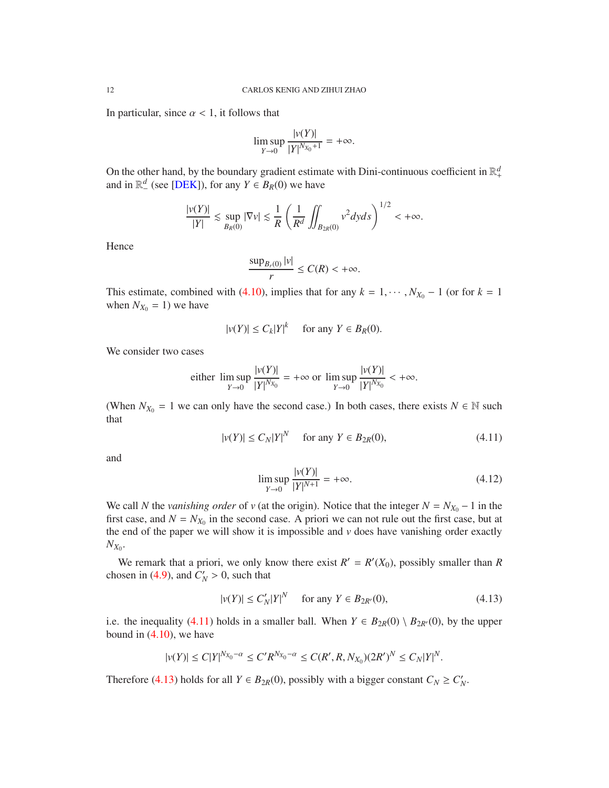<span id="page-11-3"></span>In particular, since  $\alpha$  < 1, it follows that

$$
\limsup_{Y \to 0} \frac{|v(Y)|}{|Y|^{N_{X_0}+1}} = +\infty.
$$

On the other hand, by the boundary gradient estimate with Dini-continuous coefficient in  $\mathbb{R}^d_+$ and in  $\mathbb{R}^d$  (see [\[DEK\]](#page-30-7)), for any  $Y \in B_R(0)$  we have

$$
\frac{|v(Y)|}{|Y|} \lesssim \sup_{B_R(0)} |\nabla v| \lesssim \frac{1}{R} \left( \frac{1}{R^d} \iint_{B_{2R}(0)} v^2 dy ds \right)^{1/2} < +\infty.
$$

Hence

$$
\frac{\sup_{B_r(0)}|v|}{r} \le C(R) < +\infty.
$$

This estimate, combined with [\(4.10\)](#page-10-3), implies that for any  $k = 1, \dots, N_{X_0} - 1$  (or for  $k = 1$ ) when  $N_{X_0} = 1$ ) we have

$$
|v(Y)| \le C_k |Y|^k \quad \text{ for any } Y \in B_R(0).
$$

We consider two cases

either 
$$
\limsup_{Y \to 0} \frac{|v(Y)|}{|Y|^{N_{X_0}}} = +\infty
$$
 or  $\limsup_{Y \to 0} \frac{|v(Y)|}{|Y|^{N_{X_0}}} < +\infty$ .

(When  $N_{X_0} = 1$  we can only have the second case.) In both cases, there exists  $N \in \mathbb{N}$  such that

<span id="page-11-0"></span>
$$
|v(Y)| \le C_N |Y|^N \quad \text{for any } Y \in B_{2R}(0),\tag{4.11}
$$

and

<span id="page-11-2"></span>
$$
\limsup_{Y \to 0} \frac{|v(Y)|}{|Y|^{N+1}} = +\infty.
$$
\n(4.12)

We call *N* the *vanishing order* of *v* (at the origin). Notice that the integer  $N = N_{X_0} - 1$  in the first case, and  $N = N_{X_0}$  in the second case. A priori we can not rule out the first case, but at the end of the paper we will show it is impossible and  $\nu$  does have vanishing order exactly  $N_{X_0}$ .

We remark that a priori, we only know there exist  $R' = R'(X_0)$ , possibly smaller than R chosen in [\(4.9\)](#page-10-0), and  $C'_N > 0$ , such that

<span id="page-11-1"></span>
$$
|v(Y)| \le C_N' |Y|^N \quad \text{ for any } Y \in B_{2R'}(0), \tag{4.13}
$$

i.e. the inequality [\(4.11\)](#page-11-0) holds in a smaller ball. When  $Y \in B_{2R}(0) \setminus B_{2R'}(0)$ , by the upper bound in [\(4.10\)](#page-10-3), we have

$$
|v(Y)| \le C|Y|^{N_{X_0}-\alpha} \le C'R^{N_{X_0}-\alpha} \le C(R',R,N_{X_0})(2R')^N \le C_N|Y|^N.
$$

Therefore [\(4.13\)](#page-11-1) holds for all  $Y \in B_{2R}(0)$ , possibly with a bigger constant  $C_N \geq C'_N$ .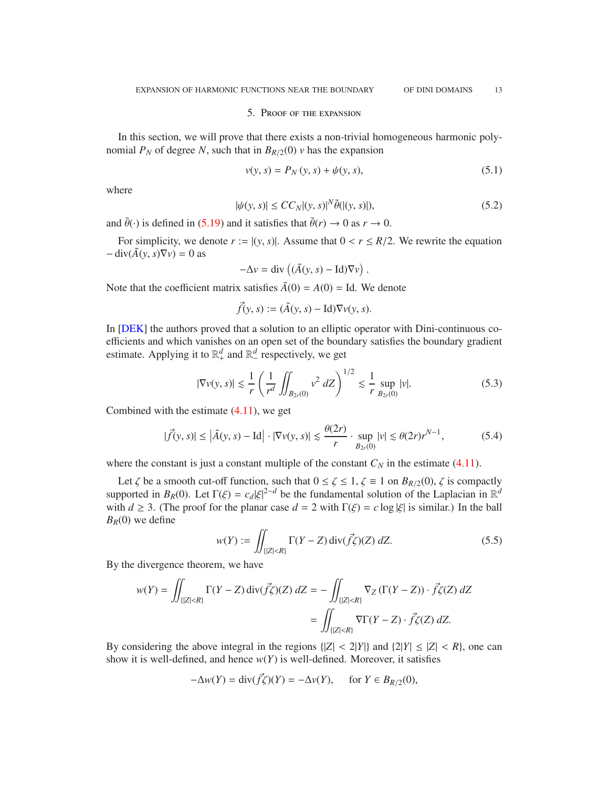#### 5. Proof of the expansion

<span id="page-12-5"></span><span id="page-12-0"></span>In this section, we will prove that there exists a non-trivial homogeneous harmonic polynomial  $P_N$  of degree *N*, such that in  $B_{R/2}(0)$  *v* has the expansion

<span id="page-12-2"></span>
$$
v(y, s) = P_N(y, s) + \psi(y, s),
$$
\n(5.1)

where

<span id="page-12-3"></span>
$$
|\psi(y,s)| \le CC_N|(y,s)|^N \tilde{\theta}(|(y,s)|),\tag{5.2}
$$

and  $\tilde{\theta}(\cdot)$  is defined in [\(5.19\)](#page-15-0) and it satisfies that  $\tilde{\theta}(r) \to 0$  as  $r \to 0$ .

For simplicity, we denote  $r := |(y, s)|$ . Assume that  $0 < r \le R/2$ . We rewrite the equation  $-\operatorname{div}(\tilde{A}(y, s)\nabla y) = 0$  as

$$
-\Delta v = \text{div}\left((\tilde{A}(y, s) - \text{Id})\nabla v\right).
$$

Note that the coefficient matrix satisfies  $\tilde{A}(0) = A(0) =$  Id. We denote

$$
\vec{f}(y, s) := (\tilde{A}(y, s) - \mathrm{Id}) \nabla v(y, s).
$$

In [\[DEK\]](#page-30-7) the authors proved that a solution to an elliptic operator with Dini-continuous coefficients and which vanishes on an open set of the boundary satisfies the boundary gradient estimate. Applying it to  $\mathbb{R}^d_+$  and  $\mathbb{R}^d_-$  respectively, we get

$$
|\nabla v(y, s)| \lesssim \frac{1}{r} \left( \frac{1}{r^d} \iint_{B_{2r}(0)} v^2 dZ \right)^{1/2} \lesssim \frac{1}{r} \sup_{B_{2r}(0)} |v|. \tag{5.3}
$$

Combined with the estimate  $(4.11)$ , we get

<span id="page-12-1"></span>
$$
|\vec{f}(y,s)| \le |\tilde{A}(y,s) - \text{Id}| \cdot |\nabla v(y,s)| \lesssim \frac{\theta(2r)}{r} \cdot \sup_{B_{2r}(0)} |v| \lesssim \theta(2r)r^{N-1},\tag{5.4}
$$

where the constant is just a constant multiple of the constant  $C_N$  in the estimate [\(4.11\)](#page-11-0).

Let  $\zeta$  be a smooth cut-off function, such that  $0 \leq \zeta \leq 1$ ,  $\zeta \equiv 1$  on  $B_{R/2}(0)$ ,  $\zeta$  is compactly supported in  $B_R(0)$ . Let  $\Gamma(\xi) = c_d |\xi|^{2-d}$  be the fundamental solution of the Laplacian in  $\mathbb{R}^d$ with  $d \geq 3$ . (The proof for the planar case  $d = 2$  with  $\Gamma(\xi) = c \log |\xi|$  is similar.) In the ball  $B_R(0)$  we define

<span id="page-12-4"></span>
$$
w(Y) := \iint_{\{|Z| < R\}} \Gamma(Y - Z) \operatorname{div}(\vec{f}\zeta)(Z) \, dZ. \tag{5.5}
$$

By the divergence theorem, we have

$$
w(Y) = \iint_{\{|Z| < R\}} \Gamma(Y - Z) \operatorname{div}(\vec{f}\zeta)(Z) \, dZ = -\iint_{\{|Z| < R\}} \nabla_Z \left( \Gamma(Y - Z) \right) \cdot \vec{f}\zeta(Z) \, dZ
$$
\n
$$
= \iint_{\{|Z| < R\}} \nabla \Gamma(Y - Z) \cdot \vec{f}\zeta(Z) \, dZ.
$$

By considering the above integral in the regions  $\{|Z| < 2|Y|\}$  and  $\{|Z| \leq |Z| < R\}$ , one can show it is well-defined, and hence  $w(Y)$  is well-defined. Moreover, it satisfies

$$
-\Delta w(Y) = \operatorname{div}(\vec{f}\zeta)(Y) = -\Delta v(Y), \quad \text{for } Y \in B_{R/2}(0),
$$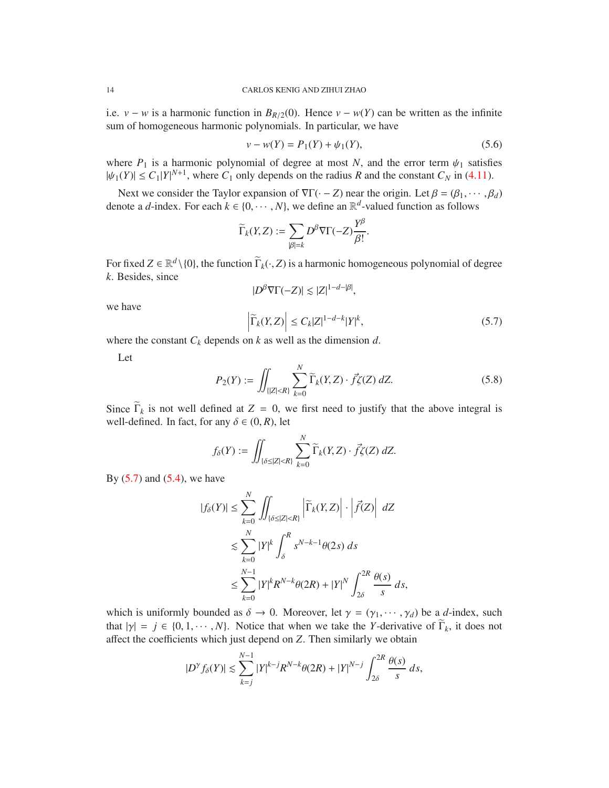i.e. *v* − *w* is a harmonic function in  $B_{R/2}(0)$ . Hence *v* − *w*(*Y*) can be written as the infinite sum of homogeneous harmonic polynomials. In particular, we have

<span id="page-13-1"></span>
$$
v - w(Y) = P_1(Y) + \psi_1(Y),
$$
\n(5.6)

where  $P_1$  is a harmonic polynomial of degree at most *N*, and the error term  $\psi_1$  satisfies  $|\psi_1(Y)| \le C_1 |Y|^{N+1}$ , where  $C_1$  only depends on the radius *R* and the constant  $C_N$  in [\(4.11\)](#page-11-0).

Next we consider the Taylor expansion of  $\nabla \Gamma(\cdot - Z)$  near the origin. Let  $\beta = (\beta_1, \dots, \beta_d)$ denote a *d*-index. For each  $k \in \{0, \dots, N\}$ , we define an  $\mathbb{R}^d$ -valued function as follows

$$
\widetilde{\Gamma}_k(Y,Z):=\sum_{|\beta|=k}D^\beta\nabla\Gamma(-Z)\frac{Y^\beta}{\beta!}.
$$

For fixed  $Z \in \mathbb{R}^d \setminus \{0\}$ , the function  $\widetilde{\Gamma}_k(\cdot, Z)$  is a harmonic homogeneous polynomial of degree *k*. Besides, since

$$
|D^{\beta}\nabla\Gamma(-Z)| \lesssim |Z|^{1-d-|\beta|},
$$

we have

<span id="page-13-0"></span>
$$
\left|\widetilde{\Gamma}_{k}(Y,Z)\right| \leq C_{k}|Z|^{1-d-k}|Y|^{k},\tag{5.7}
$$

where the constant *C<sup>k</sup>* depends on *k* as well as the dimension *d*.

Let

<span id="page-13-2"></span>
$$
P_2(Y) := \iint_{\{|Z| < R\}} \sum_{k=0}^{N} \widetilde{\Gamma}_k(Y, Z) \cdot \vec{f} \zeta(Z) \, dZ. \tag{5.8}
$$

Since  $\widetilde{\Gamma}_k$  is not well defined at  $Z = 0$ , we first need to justify that the above integral is well-defined. In fact, for any  $\delta \in (0, R)$ , let

$$
f_{\delta}(Y) := \iint_{\{\delta \leq |Z| < R\}} \sum_{k=0}^N \widetilde{\Gamma}_k(Y, Z) \cdot \vec{f} \zeta(Z) \, dZ.
$$

By  $(5.7)$  and  $(5.4)$ , we have

$$
|f_{\delta}(Y)| \leq \sum_{k=0}^{N} \iint_{\{\delta \leq |Z| < R\}} \left| \widetilde{\Gamma}_{k}(Y, Z) \right| \cdot \left| \widetilde{f}(Z) \right| \, dZ
$$
  

$$
\lesssim \sum_{k=0}^{N} |Y|^{k} \int_{\delta}^{R} s^{N-k-1} \theta(2s) \, ds
$$
  

$$
\leq \sum_{k=0}^{N-1} |Y|^{k} R^{N-k} \theta(2R) + |Y|^{N} \int_{2\delta}^{2R} \frac{\theta(s)}{s} \, ds,
$$

which is uniformly bounded as  $\delta \to 0$ . Moreover, let  $\gamma = (\gamma_1, \dots, \gamma_d)$  be a *d*-index, such that  $|\gamma| = j \in \{0, 1, \dots, N\}$ . Notice that when we take the *Y*-derivative of  $\Gamma_k$ , it does not affect the coefficients which just depend on *Z*. Then similarly we obtain

$$
|D^{\gamma} f_\delta(Y)| \lesssim \sum_{k=j}^{N-1} |Y|^{k-j} R^{N-k} \theta(2R) + |Y|^{N-j} \int_{2\delta}^{2R} \frac{\theta(s)}{s} ds,
$$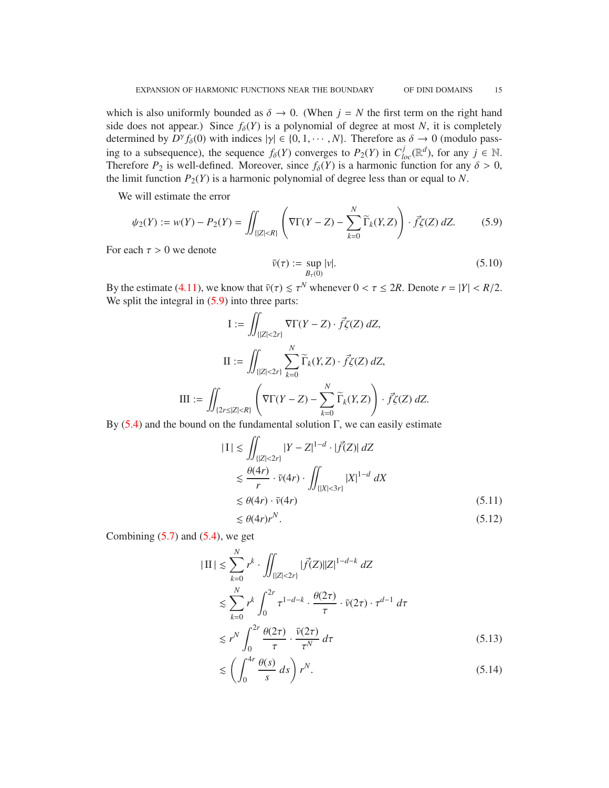which is also uniformly bounded as  $\delta \to 0$ . (When  $j = N$  the first term on the right hand side does not appear.) Since  $f_\delta(Y)$  is a polynomial of degree at most *N*, it is completely determined by  $D^{\gamma} f_{\delta}(0)$  with indices  $|\gamma| \in \{0, 1, \cdots, N\}$ . Therefore as  $\delta \to 0$  (modulo passing to a subsequence), the sequence  $f_{\delta}(Y)$  converges to  $P_2(Y)$  in  $C^j_{loc}(\mathbb{R}^d)$ , for any  $j \in \mathbb{N}$ . Therefore  $P_2$  is well-defined. Moreover, since  $f_\delta(Y)$  is a harmonic function for any  $\delta > 0$ , the limit function  $P_2(Y)$  is a harmonic polynomial of degree less than or equal to *N*.

We will estimate the error

<span id="page-14-0"></span>
$$
\psi_2(Y) := w(Y) - P_2(Y) = \iint_{\{|Z| < R\}} \left( \nabla \Gamma(Y - Z) - \sum_{k=0}^N \widetilde{\Gamma}_k(Y, Z) \right) \cdot \vec{f} \zeta(Z) \, dZ. \tag{5.9}
$$

For each  $\tau > 0$  we denote

<span id="page-14-5"></span>
$$
\bar{\nu}(\tau) := \sup_{B_{\tau}(0)} |\nu|.
$$
\n
$$
(5.10)
$$

By the estimate [\(4.11\)](#page-11-0), we know that  $\bar{v}(\tau) \le \tau^N$  whenever  $0 < \tau \le 2R$ . Denote  $r = |Y| < R/2$ . We split the integral in  $(5.9)$  into three parts:

$$
I := \iint_{\{|Z| < 2r\}} \nabla \Gamma(Y - Z) \cdot \vec{f} \zeta(Z) \, dZ,
$$
\n
$$
II := \iint_{\{|Z| < 2r\}} \sum_{k=0}^N \widetilde{\Gamma}_k(Y, Z) \cdot \vec{f} \zeta(Z) \, dZ,
$$
\n
$$
III := \iint_{\{2r \le |Z| < R\}} \left( \nabla \Gamma(Y - Z) - \sum_{k=0}^N \widetilde{\Gamma}_k(Y, Z) \right) \cdot \vec{f} \zeta(Z) \, dZ.
$$

By  $(5.4)$  and the bound on the fundamental solution Γ, we can easily estimate

$$
|I| \lesssim \iint_{\{|Z| < 2r\}} |Y - Z|^{1-d} \cdot |\vec{f}(Z)| \, dZ
$$
\n
$$
\lesssim \frac{\theta(4r)}{r} \cdot \bar{\nu}(4r) \cdot \iint_{\{|X| < 3r\}} |X|^{1-d} \, dX
$$
\n
$$
\lesssim \theta(4r) \cdot \bar{\nu}(4r) \tag{5.11}
$$

<span id="page-14-3"></span><span id="page-14-1"></span>
$$
\lesssim \theta(4r)r^N.\tag{5.12}
$$

Combining  $(5.7)$  and  $(5.4)$ , we get

$$
|\Pi| \lesssim \sum_{k=0}^{N} r^k \cdot \iint_{\{|Z| < 2r\}} |\vec{f}(Z)||Z|^{1-d-k} dZ
$$
\n
$$
\lesssim \sum_{k=0}^{N} r^k \int_0^{2r} \tau^{1-d-k} \cdot \frac{\theta(2\tau)}{\tau} \cdot \bar{\nu}(2\tau) \cdot \tau^{d-1} d\tau
$$
\n
$$
\lesssim r^N \int_0^{2r} \frac{\theta(2\tau)}{\tau} \cdot \frac{\bar{\nu}(2\tau)}{\tau^N} d\tau \tag{5.13}
$$

<span id="page-14-4"></span><span id="page-14-2"></span>
$$
\lesssim \left(\int_0^{4r} \frac{\theta(s)}{s} \, ds\right) r^N. \tag{5.14}
$$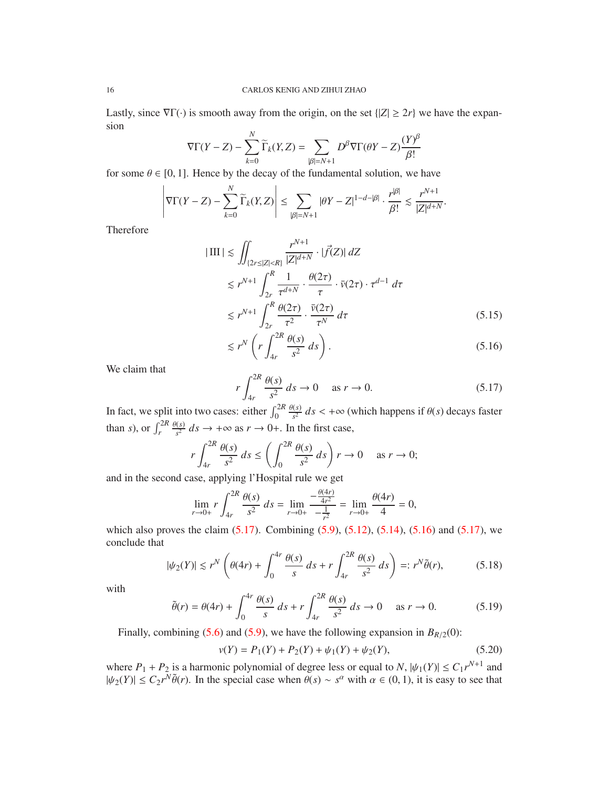Lastly, since  $\nabla \Gamma(\cdot)$  is smooth away from the origin, on the set  $\{|Z| \geq 2r\}$  we have the expansion

$$
\nabla \Gamma(Y - Z) - \sum_{k=0}^{N} \widetilde{\Gamma}_{k}(Y, Z) = \sum_{|\beta|=N+1} D^{\beta} \nabla \Gamma(\theta Y - Z) \frac{(Y)^{\beta}}{\beta!}
$$

for some  $\theta \in [0, 1]$ . Hence by the decay of the fundamental solution, we have

$$
\left|\nabla\Gamma(Y-Z)-\sum_{k=0}^N\widetilde\Gamma_k(Y,Z)\right|\leq\sum_{|\beta|=N+1}|\theta Y-Z|^{1-d-|\beta|}\cdot\frac{r^{|\beta|}}{\beta!}\lesssim\frac{r^{N+1}}{|Z|^{d+N}}.
$$

Therefore

$$
|\text{III}| \lesssim \iint_{\{2r \le |Z| < R\}} \frac{r^{N+1}}{|Z|^{d+N}} \cdot |\vec{f}(Z)| \, dZ
$$
\n
$$
\lesssim r^{N+1} \int_{2r}^{R} \frac{1}{\tau^{d+N}} \cdot \frac{\theta(2\tau)}{\tau} \cdot \bar{\nu}(2\tau) \cdot \tau^{d-1} \, d\tau
$$
\n
$$
\lesssim r^{N+1} \int_{2r}^{R} \frac{\theta(2\tau)}{\tau^2} \cdot \frac{\bar{\nu}(2\tau)}{\tau^N} \, d\tau \tag{5.15}
$$

<span id="page-15-4"></span>
$$
\lesssim r^N \left( r \int_{4r}^{2R} \frac{\theta(s)}{s^2} \, ds \right). \tag{5.16}
$$

We claim that

<span id="page-15-2"></span><span id="page-15-1"></span>
$$
r \int_{4r}^{2R} \frac{\theta(s)}{s^2} ds \to 0 \quad \text{as } r \to 0.
$$
 (5.17)

In fact, we split into two cases: either  $\int_0^{2R}$ θ(*s*)  $\frac{f(s)}{s^2}$  *ds* < +∞ (which happens if  $\theta(s)$  decays faster than *s*), or  $\int_r^{2R}$ θ(*s*)  $\frac{\binom{(s)}{s^2}}{s^2}$  *ds*  $\rightarrow +\infty$  as  $r \rightarrow 0+$ . In the first case,

$$
r \int_{4r}^{2R} \frac{\theta(s)}{s^2} ds \le \left( \int_0^{2R} \frac{\theta(s)}{s^2} ds \right) r \to 0 \quad \text{as } r \to 0;
$$

and in the second case, applying l'Hospital rule we get

$$
\lim_{r \to 0+} r \int_{4r}^{2R} \frac{\theta(s)}{s^2} ds = \lim_{r \to 0+} \frac{-\frac{\theta(4r)}{4r^2}}{-\frac{1}{r^2}} = \lim_{r \to 0+} \frac{\theta(4r)}{4} = 0,
$$

which also proves the claim  $(5.17)$ . Combining  $(5.9)$ ,  $(5.12)$ ,  $(5.14)$ ,  $(5.16)$  and  $(5.17)$ , we conclude that

$$
|\psi_2(Y)| \lesssim r^N \left(\theta(4r) + \int_0^{4r} \frac{\theta(s)}{s} ds + r \int_{4r}^{2R} \frac{\theta(s)}{s^2} ds\right) =: r^N \tilde{\theta}(r),\tag{5.18}
$$

with

<span id="page-15-0"></span>
$$
\tilde{\theta}(r) = \theta(4r) + \int_0^{4r} \frac{\theta(s)}{s} \, ds + r \int_{4r}^{2R} \frac{\theta(s)}{s^2} \, ds \to 0 \quad \text{as } r \to 0. \tag{5.19}
$$

Finally, combining [\(5.6\)](#page-13-1) and [\(5.9\)](#page-14-0), we have the following expansion in  $B_{R/2}(0)$ :

<span id="page-15-3"></span>
$$
v(Y) = P_1(Y) + P_2(Y) + \psi_1(Y) + \psi_2(Y),
$$
\n(5.20)

where  $P_1 + P_2$  is a harmonic polynomial of degree less or equal to *N*,  $|\psi_1(Y)| \le C_1 r^{N+1}$  and  $|\psi_2(Y)| \leq C_2 r^N \tilde{\theta}(r)$ . In the special case when  $\theta(s) \sim s^{\alpha}$  with  $\alpha \in (0, 1)$ , it is easy to see that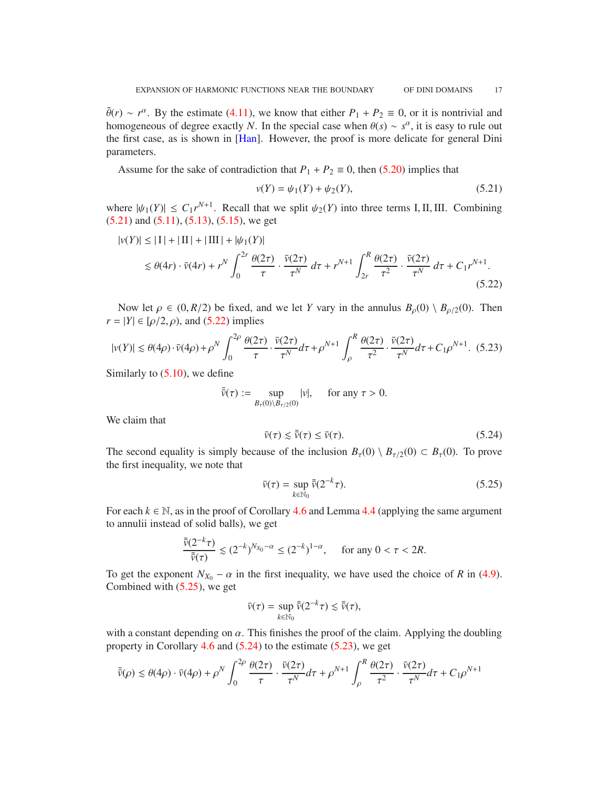<span id="page-16-5"></span> $\tilde{\theta}(r) \sim r^{\alpha}$ . By the estimate [\(4.11\)](#page-11-0), we know that either  $P_1 + P_2 \equiv 0$ , or it is nontrivial and homogeneous of degree exactly *N*. In the special case when  $\theta(s) \sim s^{\alpha}$ , it is easy to rule out the first case, as is shown in [\[Han\]](#page-30-0). However, the proof is more delicate for general Dini parameters.

Assume for the sake of contradiction that  $P_1 + P_2 \equiv 0$ , then [\(5.20\)](#page-15-3) implies that

<span id="page-16-1"></span><span id="page-16-0"></span>
$$
\nu(Y) = \psi_1(Y) + \psi_2(Y),\tag{5.21}
$$

where  $|\psi_1(Y)| \leq C_1 r^{N+1}$ . Recall that we split  $\psi_2(Y)$  into three terms I, II, III. Combining  $(5.21)$  and  $(5.11)$ ,  $(5.13)$ ,  $(5.15)$ , we get

$$
|v(Y)| \le |I| + |II| + |III| + |\psi_1(Y)|
$$
  
\n
$$
\le \theta(4r) \cdot \bar{v}(4r) + r^N \int_0^{2r} \frac{\theta(2\tau)}{\tau} \cdot \frac{\bar{v}(2\tau)}{\tau^N} d\tau + r^{N+1} \int_{2r}^R \frac{\theta(2\tau)}{\tau^2} \cdot \frac{\bar{v}(2\tau)}{\tau^N} d\tau + C_1 r^{N+1}.
$$
\n(5.22)

Now let  $\rho \in (0, R/2)$  be fixed, and we let *Y* vary in the annulus  $B_{\rho}(0) \setminus B_{\rho/2}(0)$ . Then  $r = |Y| \in [\rho/2, \rho)$ , and [\(5.22\)](#page-16-1) implies

<span id="page-16-4"></span>
$$
|v(Y)| \lesssim \theta(4\rho) \cdot \bar{v}(4\rho) + \rho^N \int_0^{2\rho} \frac{\theta(2\tau)}{\tau} \cdot \frac{\bar{v}(2\tau)}{\tau^N} d\tau + \rho^{N+1} \int_\rho^R \frac{\theta(2\tau)}{\tau^2} \cdot \frac{\bar{v}(2\tau)}{\tau^N} d\tau + C_1 \rho^{N+1}.
$$
 (5.23)

Similarly to  $(5.10)$ , we define

$$
\bar{\bar{v}}(\tau) := \sup_{B_{\tau}(0) \setminus B_{\tau/2}(0)} |v|, \quad \text{ for any } \tau > 0.
$$

We claim that

<span id="page-16-3"></span>
$$
\bar{\nu}(\tau) \le \bar{\bar{\nu}}(\tau) \le \bar{\nu}(\tau). \tag{5.24}
$$

The second equality is simply because of the inclusion  $B_\tau(0) \setminus B_{\tau/2}(0) \subset B_\tau(0)$ . To prove the first inequality, we note that

<span id="page-16-2"></span>
$$
\bar{\nu}(\tau) = \sup_{k \in \mathbb{N}_0} \bar{\bar{\nu}}(2^{-k}\tau). \tag{5.25}
$$

For each  $k \in \mathbb{N}$ , as in the proof of Corollary [4.6](#page-10-1) and Lemma [4.4](#page-9-1) (applying the same argument to annulii instead of solid balls), we get

$$
\frac{\bar{\bar{v}}(2^{-k}\tau)}{\bar{\bar{v}}(\tau)} \lesssim (2^{-k})^{N_{X_0} - \alpha} \le (2^{-k})^{1-\alpha}, \quad \text{ for any } 0 < \tau < 2R.
$$

To get the exponent  $N_{X_0} - \alpha$  in the first inequality, we have used the choice of *R* in [\(4.9\)](#page-10-0). Combined with [\(5.25\)](#page-16-2), we get

$$
\bar{\nu}(\tau) = \sup_{k \in \mathbb{N}_0} \bar{\bar{\nu}}(2^{-k}\tau) \lesssim \bar{\bar{\nu}}(\tau),
$$

with a constant depending on  $\alpha$ . This finishes the proof of the claim. Applying the doubling property in Corollary [4.6](#page-10-1) and [\(5.24\)](#page-16-3) to the estimate [\(5.23\)](#page-16-4), we get

$$
\bar{\bar{v}}(\rho) \lesssim \theta(4\rho) \cdot \bar{v}(4\rho) + \rho^N \int_0^{2\rho} \frac{\theta(2\tau)}{\tau} \cdot \frac{\bar{v}(2\tau)}{\tau^N} d\tau + \rho^{N+1} \int_\rho^R \frac{\theta(2\tau)}{\tau^2} \cdot \frac{\bar{v}(2\tau)}{\tau^N} d\tau + C_1 \rho^{N+1}
$$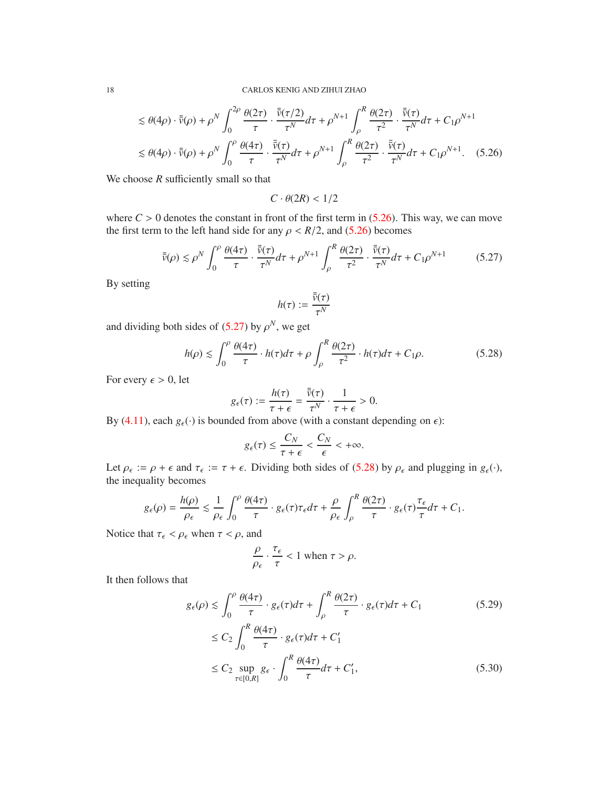$$
\leq \theta(4\rho) \cdot \bar{\bar{v}}(\rho) + \rho^N \int_0^{2\rho} \frac{\theta(2\tau)}{\tau} \cdot \frac{\bar{\bar{v}}(\tau/2)}{\tau^N} d\tau + \rho^{N+1} \int_\rho^R \frac{\theta(2\tau)}{\tau^2} \cdot \frac{\bar{\bar{v}}(\tau)}{\tau^N} d\tau + C_1 \rho^{N+1}
$$
  

$$
\leq \theta(4\rho) \cdot \bar{\bar{v}}(\rho) + \rho^N \int_0^\rho \frac{\theta(4\tau)}{\tau} \cdot \frac{\bar{\bar{v}}(\tau)}{\tau^N} d\tau + \rho^{N+1} \int_\rho^R \frac{\theta(2\tau)}{\tau^2} \cdot \frac{\bar{\bar{v}}(\tau)}{\tau^N} d\tau + C_1 \rho^{N+1}.
$$
 (5.26)

We choose *R* sufficiently small so that

<span id="page-17-0"></span> $C \cdot \theta(2R) < 1/2$ 

where  $C > 0$  denotes the constant in front of the first term in  $(5.26)$ . This way, we can move the first term to the left hand side for any  $\rho < R/2$ , and [\(5.26\)](#page-17-0) becomes

<span id="page-17-1"></span>
$$
\bar{\bar{v}}(\rho) \lesssim \rho^N \int_0^{\rho} \frac{\theta(4\tau)}{\tau} \cdot \frac{\bar{\bar{v}}(\tau)}{\tau^N} d\tau + \rho^{N+1} \int_{\rho}^R \frac{\theta(2\tau)}{\tau^2} \cdot \frac{\bar{\bar{v}}(\tau)}{\tau^N} d\tau + C_1 \rho^{N+1}
$$
(5.27)

By setting

$$
h(\tau):=\frac{\bar{\bar{v}}(\tau)}{\tau^N}
$$

and dividing both sides of  $(5.27)$  by  $\rho^N$ , we get

<span id="page-17-2"></span>
$$
h(\rho) \lesssim \int_0^{\rho} \frac{\theta(4\tau)}{\tau} \cdot h(\tau) d\tau + \rho \int_{\rho}^R \frac{\theta(2\tau)}{\tau^2} \cdot h(\tau) d\tau + C_1 \rho. \tag{5.28}
$$

For every  $\epsilon > 0$ , let

$$
g_{\epsilon}(\tau) := \frac{h(\tau)}{\tau + \epsilon} = \frac{\bar{\bar{\nu}}(\tau)}{\tau^N} \cdot \frac{1}{\tau + \epsilon} > 0.
$$

By [\(4.11\)](#page-11-0), each  $g_{\epsilon}(\cdot)$  is bounded from above (with a constant depending on  $\epsilon$ ):

$$
g_{\epsilon}(\tau) \leq \frac{C_N}{\tau + \epsilon} < \frac{C_N}{\epsilon} < +\infty.
$$

Let  $\rho_{\epsilon} := \rho + \epsilon$  and  $\tau_{\epsilon} := \tau + \epsilon$ . Dividing both sides of [\(5.28\)](#page-17-2) by  $\rho_{\epsilon}$  and plugging in  $g_{\epsilon}(\cdot)$ , the inequality becomes

$$
g_{\epsilon}(\rho) = \frac{h(\rho)}{\rho_{\epsilon}} \lesssim \frac{1}{\rho_{\epsilon}} \int_0^{\rho} \frac{\theta(4\tau)}{\tau} \cdot g_{\epsilon}(\tau) \tau_{\epsilon} d\tau + \frac{\rho}{\rho_{\epsilon}} \int_{\rho}^R \frac{\theta(2\tau)}{\tau} \cdot g_{\epsilon}(\tau) \frac{\tau_{\epsilon}}{\tau} d\tau + C_1.
$$

Notice that  $\tau_{\epsilon} < \rho_{\epsilon}$  when  $\tau < \rho$ , and

<span id="page-17-4"></span><span id="page-17-3"></span>
$$
\frac{\rho}{\rho_{\epsilon}} \cdot \frac{\tau_{\epsilon}}{\tau} < 1 \text{ when } \tau > \rho.
$$

It then follows that

$$
g_{\epsilon}(\rho) \le \int_0^{\rho} \frac{\theta(4\tau)}{\tau} \cdot g_{\epsilon}(\tau) d\tau + \int_{\rho}^R \frac{\theta(2\tau)}{\tau} \cdot g_{\epsilon}(\tau) d\tau + C_1
$$
(5.29)  

$$
\le C_2 \int_0^R \frac{\theta(4\tau)}{\tau} \cdot g_{\epsilon}(\tau) d\tau + C'_1
$$
  

$$
\le C_2 \sup_{\tau \in [0,R]} g_{\epsilon} \cdot \int_0^R \frac{\theta(4\tau)}{\tau} d\tau + C'_1,
$$
(5.30)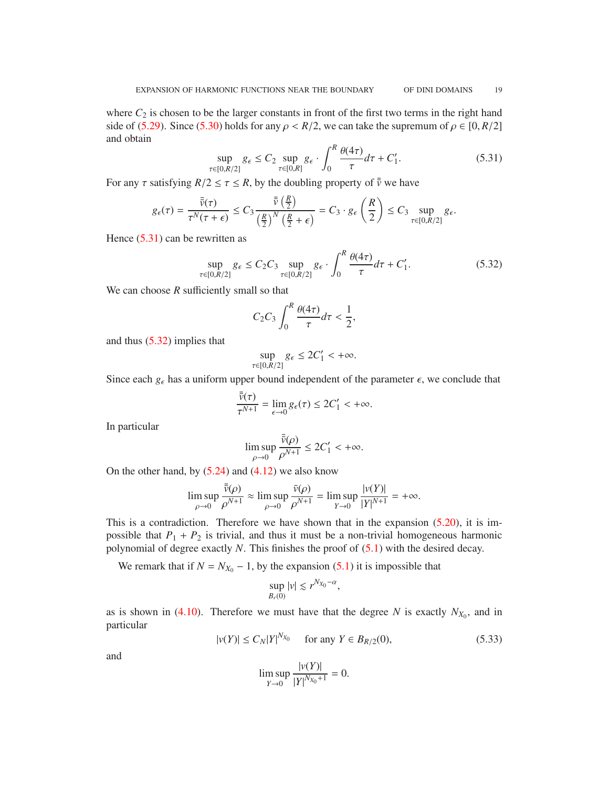where  $C_2$  is chosen to be the larger constants in front of the first two terms in the right hand side of [\(5.29\)](#page-17-3). Since [\(5.30\)](#page-17-4) holds for any  $\rho < R/2$ , we can take the supremum of  $\rho \in [0, R/2]$ and obtain

<span id="page-18-0"></span>
$$
\sup_{\tau \in [0,R/2]} g_{\epsilon} \le C_2 \sup_{\tau \in [0,R]} g_{\epsilon} \cdot \int_0^R \frac{\theta(4\tau)}{\tau} d\tau + C_1'. \tag{5.31}
$$

For any  $\tau$  satisfying  $R/2 \leq \tau \leq R$ , by the doubling property of  $\bar{\bar{\nu}}$  we have

$$
g_{\epsilon}(\tau) = \frac{\bar{\bar{\nu}}(\tau)}{\tau^N(\tau + \epsilon)} \leq C_3 \frac{\bar{\bar{\nu}}\left(\frac{R}{2}\right)}{\left(\frac{R}{2}\right)^N \left(\frac{R}{2} + \epsilon\right)} = C_3 \cdot g_{\epsilon} \left(\frac{R}{2}\right) \leq C_3 \sup_{\tau \in [0, R/2]} g_{\epsilon}.
$$

Hence  $(5.31)$  can be rewritten as

<span id="page-18-1"></span>
$$
\sup_{\tau \in [0,R/2]} g_{\epsilon} \le C_2 C_3 \sup_{\tau \in [0,R/2]} g_{\epsilon} \cdot \int_0^R \frac{\theta(4\tau)}{\tau} d\tau + C_1'. \tag{5.32}
$$

We can choose *R* sufficiently small so that

$$
C_2C_3\int_0^R\frac{\theta(4\tau)}{\tau}d\tau<\frac{1}{2},
$$

and thus [\(5.32\)](#page-18-1) implies that

$$
\sup_{\tau \in [0,R/2]} g_{\epsilon} \le 2C'_1 < +\infty.
$$

Since each  $g_{\epsilon}$  has a uniform upper bound independent of the parameter  $\epsilon$ , we conclude that

$$
\frac{\bar{\bar{v}}(\tau)}{\tau^{N+1}} = \lim_{\epsilon \to 0} g_{\epsilon}(\tau) \le 2C'_1 < +\infty.
$$

In particular

$$
\limsup_{\rho \to 0} \frac{\bar{\bar{\nu}}(\rho)}{\rho^{N+1}} \le 2C'_1 < +\infty.
$$

On the other hand, by  $(5.24)$  and  $(4.12)$  we also know

$$
\limsup_{\rho \to 0} \frac{\overline{\overline{v}}(\rho)}{\rho^{N+1}} \approx \limsup_{\rho \to 0} \frac{\overline{v}(\rho)}{\rho^{N+1}} = \limsup_{Y \to 0} \frac{|v(Y)|}{|Y|^{N+1}} = +\infty.
$$

This is a contradiction. Therefore we have shown that in the expansion [\(5.20\)](#page-15-3), it is impossible that  $P_1 + P_2$  is trivial, and thus it must be a non-trivial homogeneous harmonic polynomial of degree exactly *N*. This finishes the proof of [\(5.1\)](#page-12-2) with the desired decay.

We remark that if  $N = N_{X_0} - 1$ , by the expansion [\(5.1\)](#page-12-2) it is impossible that

$$
\sup_{B_r(0)}|v| \lesssim r^{N_{X_0}-\alpha},
$$

as is shown in [\(4.10\)](#page-10-3). Therefore we must have that the degree *N* is exactly  $N_{X_0}$ , and in particular

<span id="page-18-2"></span>
$$
|v(Y)| \le C_N |Y|^{N_{X_0}} \quad \text{ for any } Y \in B_{R/2}(0), \tag{5.33}
$$

and

$$
\limsup_{Y \to 0} \frac{|v(Y)|}{|Y|^{N_{X_0}+1}} = 0.
$$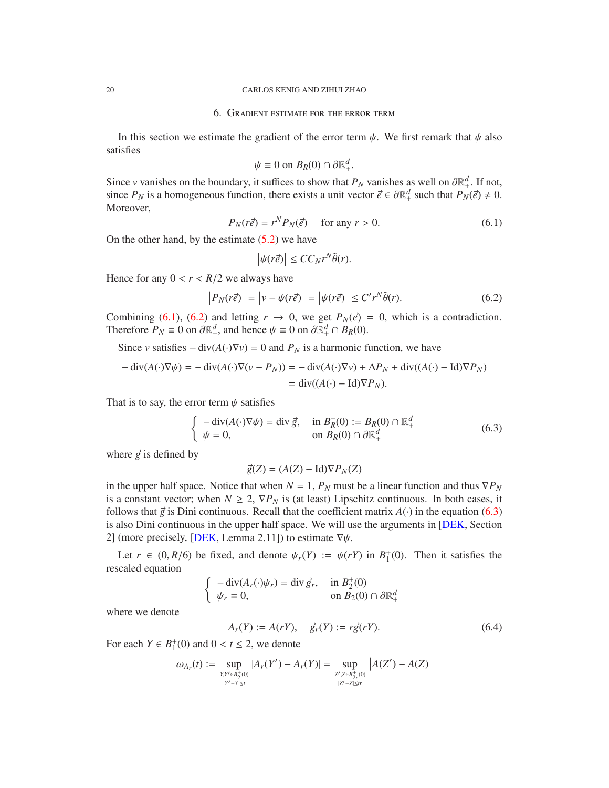#### <span id="page-19-4"></span><span id="page-19-0"></span>20 CARLOS KENIG AND ZIHUI ZHAO

### 6. Gradient estimate for the error term

In this section we estimate the gradient of the error term  $\psi$ . We first remark that  $\psi$  also satisfies

$$
\psi \equiv 0 \text{ on } B_R(0) \cap \partial \mathbb{R}^d_+.
$$

Since *v* vanishes on the boundary, it suffices to show that  $P_N$  vanishes as well on  $\partial \mathbb{R}^d_+$ . If not, since  $P_N$  is a homogeneous function, there exists a unit vector  $\vec{e} \in \partial \mathbb{R}^d_+$  such that  $P_N(\vec{e}) \neq 0$ . Moreover,

<span id="page-19-1"></span>
$$
P_N(r\vec{e}) = r^N P_N(\vec{e}) \quad \text{ for any } r > 0.
$$
 (6.1)

On the other hand, by the estimate  $(5.2)$  we have

$$
\left|\psi(r\vec{e})\right| \le CC_N r^N \tilde{\theta}(r).
$$

Hence for any  $0 < r < R/2$  we always have

<span id="page-19-2"></span>
$$
\left| P_N(r\vec{e}) \right| = \left| v - \psi(r\vec{e}) \right| = \left| \psi(r\vec{e}) \right| \le C' r^N \tilde{\theta}(r). \tag{6.2}
$$

Combining [\(6.1\)](#page-19-1), [\(6.2\)](#page-19-2) and letting  $r \to 0$ , we get  $P_N(\vec{e}) = 0$ , which is a contradiction. Therefore  $P_N \equiv 0$  on  $\partial \mathbb{R}^d_+$ , and hence  $\psi \equiv 0$  on  $\partial \mathbb{R}^d_+ \cap B_R(0)$ .

Since *v* satisfies  $-\text{div}(A(\cdot)\nabla v) = 0$  and  $P_N$  is a harmonic function, we have

$$
-\operatorname{div}(A(\cdot)\nabla\psi) = -\operatorname{div}(A(\cdot)\nabla(v - P_N)) = -\operatorname{div}(A(\cdot)\nabla v) + \Delta P_N + \operatorname{div}((A(\cdot) - \operatorname{Id})\nabla P_N)
$$
  
=  $\operatorname{div}((A(\cdot) - \operatorname{Id})\nabla P_N)$ .

That is to say, the error term  $\psi$  satisfies

<span id="page-19-3"></span>
$$
\begin{cases}\n-\operatorname{div}(A(\cdot)\nabla\psi) = \operatorname{div}\vec{g}, & \text{in } B_R^+(0) := B_R(0) \cap \mathbb{R}^d_+ \\
\psi = 0, & \text{on } B_R(0) \cap \partial \mathbb{R}^d_+\n\end{cases} (6.3)
$$

where  $\vec{g}$  is defined by

$$
\vec{g}(Z) = (A(Z) - \mathrm{Id}) \nabla P_N(Z)
$$

in the upper half space. Notice that when  $N = 1$ ,  $P_N$  must be a linear function and thus  $\nabla P_N$ is a constant vector; when  $N \ge 2$ ,  $\nabla P_N$  is (at least) Lipschitz continuous. In both cases, it follows that  $\vec{g}$  is Dini continuous. Recall that the coefficient matrix  $A(\cdot)$  in the equation [\(6.3\)](#page-19-3) is also Dini continuous in the upper half space. We will use the arguments in [\[DEK,](#page-30-7) Section 2] (more precisely, [\[DEK,](#page-30-7) Lemma 2.11]) to estimate  $\nabla \psi$ .

Let  $r \in (0, R/6)$  be fixed, and denote  $\psi_r(Y) := \psi(rY)$  in  $B_1^+$  $_{1}^{+}(0)$ . Then it satisfies the rescaled equation

$$
\begin{cases}\n-\operatorname{div}(A_r(\cdot)\psi_r) = \operatorname{div}\vec{g}_r, & \text{in } B_2^+(0) \\
\psi_r \equiv 0, & \text{on } B_2(0) \cap \partial \mathbb{R}^d_+\n\end{cases}
$$

where we denote

$$
A_r(Y) := A(rY), \quad \vec{g}_r(Y) := r\vec{g}(rY). \tag{6.4}
$$

For each  $Y \in B_1^+$  $_1^+(0)$  and  $0 < t \le 2$ , we denote

$$
\omega_{A_r}(t) := \sup_{\substack{XY \in B_2^+(0) \\ |Y' - Y| \le t}} |A_r(Y') - A_r(Y)| = \sup_{\substack{Z', Z \in B_{2r}^+(0) \\ |Z' - Z| \le tr}} |A(Z') - A(Z)|
$$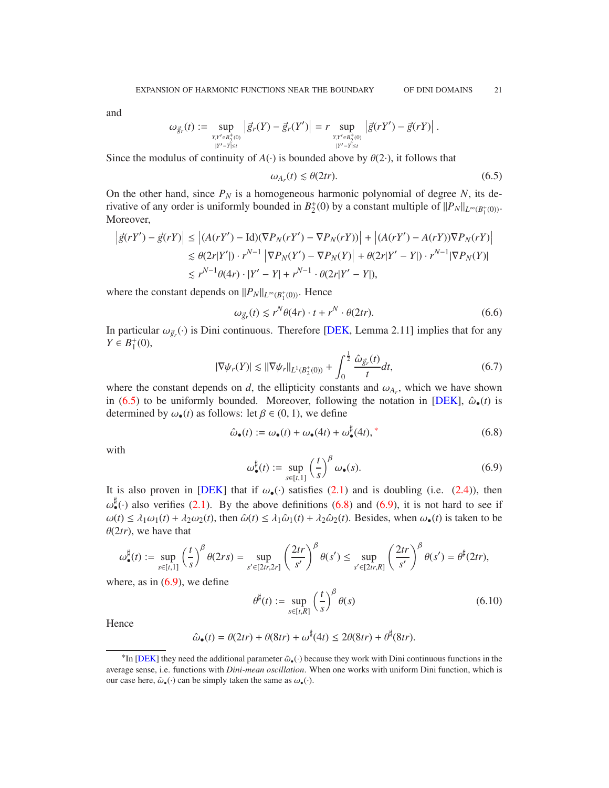.

<span id="page-20-7"></span>and

$$
\omega_{\vec{g}_r}(t) := \sup_{Y,Y'\in B_2^+(0)\atop |Y'-Y|\leq t} \left|\vec{g}_r(Y) - \vec{g}_r(Y')\right| = r \sup_{Y,Y'\in B_2^+(0)\atop |Y'-Y|\leq t} \left|\vec{g}(rY') - \vec{g}(rY)\right|
$$

Since the modulus of continuity of  $A(\cdot)$  is bounded above by  $\theta(2\cdot)$ , it follows that

<span id="page-20-1"></span>
$$
\omega_{A_r}(t) \lesssim \theta(2tr). \tag{6.5}
$$

On the other hand, since  $P_N$  is a homogeneous harmonic polynomial of degree *N*, its derivative of any order is uniformly bounded in  $B_2^+$  $2^+(0)$  by a constant multiple of  $||P_N||_{L^\infty(B_1^+(0))}$ . Moreover,

$$
\begin{aligned} \left| \vec{g}(rY') - \vec{g}(rY) \right| &\leq \left| (A(rY') - \text{Id})(\nabla P_N(rY') - \nabla P_N(rY)) \right| + \left| (A(rY') - A(rY))\nabla P_N(rY) \right| \\ &\leq \theta(2r|Y'|) \cdot r^{N-1} \left| \nabla P_N(Y') - \nabla P_N(Y) \right| + \theta(2r|Y' - Y|) \cdot r^{N-1} |\nabla P_N(Y)| \\ &\leq r^{N-1}\theta(4r) \cdot |Y' - Y| + r^{N-1} \cdot \theta(2r|Y' - Y|), \end{aligned}
$$

where the constant depends on  $||P_N||_{L^\infty(B_1^+(0))}$ . Hence

<span id="page-20-5"></span>
$$
\omega_{\vec{g}_r}(t) \lesssim r^N \theta(4r) \cdot t + r^N \cdot \theta(2tr). \tag{6.6}
$$

In particular  $\omega_{\vec{g}_r}(\cdot)$  is Dini continuous. Therefore [\[DEK,](#page-30-7) Lemma 2.11] implies that for any  $Y \in B_1^+$  $_1^+(0)$ ,

<span id="page-20-6"></span>
$$
|\nabla \psi_r(Y)| \lesssim ||\nabla \psi_r||_{L^1(B_2^+(0))} + \int_0^{\frac{1}{2}} \frac{\hat{\omega}_{\vec{g}_r}(t)}{t} dt, \tag{6.7}
$$

where the constant depends on  $d$ , the ellipticity constants and  $\omega_{A_r}$ , which we have shown in [\(6.5\)](#page-20-1) to be uniformly bounded. Moreover, following the notation in [\[DEK\]](#page-30-7),  $\hat{\omega}_{\bullet}(t)$  is determined by  $\omega_{\bullet}(t)$  as follows: let  $\beta \in (0, 1)$ , we define

<span id="page-20-3"></span>
$$
\hat{\omega}_{\bullet}(t) := \omega_{\bullet}(t) + \omega_{\bullet}(4t) + \omega_{\bullet}^{\sharp}(4t), \tag{6.8}
$$

with

<span id="page-20-4"></span>
$$
\omega_{\bullet}^{\sharp}(t) := \sup_{s \in [t,1]} \left(\frac{t}{s}\right)^{\beta} \omega_{\bullet}(s). \tag{6.9}
$$

It is also proven in [\[DEK\]](#page-30-7) that if  $\omega_{\bullet}(\cdot)$  satisfies [\(2.1\)](#page-3-0) and is doubling (i.e. [\(2.4\)](#page-3-4)), then  $\omega_{\bullet}^{\sharp}(\cdot)$  also verifies [\(2.1\)](#page-3-0). By the above definitions [\(6.8\)](#page-20-3) and [\(6.9\)](#page-20-4), it is not hard to see if  $\omega(t) \leq \lambda_1 \omega_1(t) + \lambda_2 \omega_2(t)$ , then  $\hat{\omega}(t) \leq \lambda_1 \hat{\omega}_1(t) + \lambda_2 \hat{\omega}_2(t)$ . Besides, when  $\omega_0(t)$  is taken to be  $\theta(2tr)$ , we have that

$$
\omega_{\bullet}^{\sharp}(t) := \sup_{s \in [t,1]} \left(\frac{t}{s}\right)^{\beta} \theta(2rs) = \sup_{s' \in [2tr,2r]} \left(\frac{2tr}{s'}\right)^{\beta} \theta(s') \le \sup_{s' \in [2tr,R]} \left(\frac{2tr}{s'}\right)^{\beta} \theta(s') = \theta^{\sharp}(2tr),
$$

where, as in  $(6.9)$ , we define

<span id="page-20-0"></span>
$$
\theta^{\sharp}(t) := \sup_{s \in [t,R]} \left(\frac{t}{s}\right)^{\beta} \theta(s) \tag{6.10}
$$

**Hence** 

$$
\hat{\omega}_{\bullet}(t) = \theta(2tr) + \theta(8tr) + \omega^{\sharp}(4t) \le 2\theta(8tr) + \theta^{\sharp}(8tr).
$$

<span id="page-20-2"></span><sup>&</sup>lt;sup>\*In</sup> [\[DEK\]](#page-30-7) they need the additional parameter  $\tilde{\omega}_{\bullet}(\cdot)$  because they work with Dini continuous functions in the average sense, i.e. functions with *Dini-mean oscillation*. When one works with uniform Dini function, which is our case here,  $\tilde{\omega}_{\bullet}(\cdot)$  can be simply taken the same as  $\omega_{\bullet}(\cdot)$ .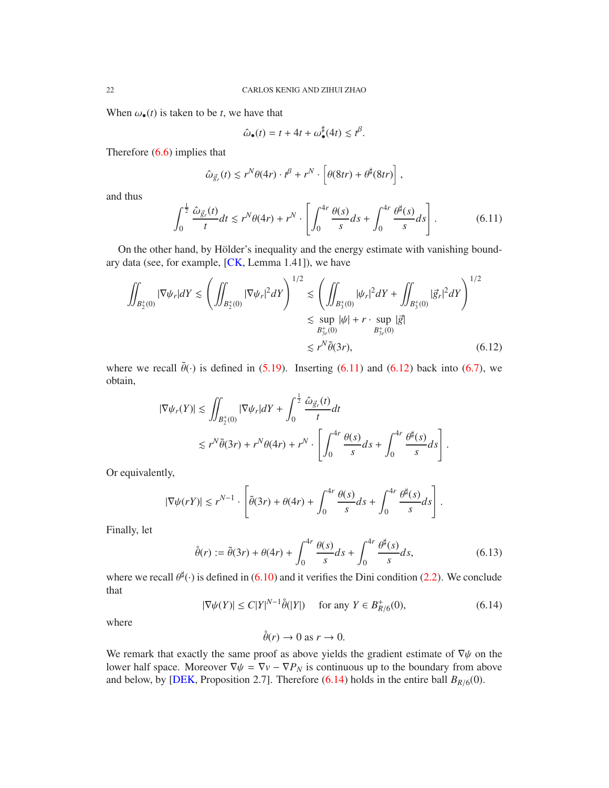<span id="page-21-4"></span>When  $\omega_{\bullet}(t)$  is taken to be *t*, we have that

<span id="page-21-2"></span>
$$
\hat{\omega}_{\bullet}(t) = t + 4t + \omega_{\bullet}^{\sharp}(4t) \leq t^{\beta}.
$$

Therefore [\(6.6\)](#page-20-5) implies that

$$
\hat{\omega}_{\vec{g}_r}(t) \lesssim r^N \theta(4r) \cdot t^{\beta} + r^N \cdot \left[\theta(8tr) + \theta^{\sharp}(8tr)\right],
$$

and thus

<span id="page-21-1"></span>
$$
\int_0^{\frac{1}{2}} \frac{\hat{\omega}_{\vec{g}_r}(t)}{t} dt \le r^N \theta(4r) + r^N \cdot \left[ \int_0^{4r} \frac{\theta(s)}{s} ds + \int_0^{4r} \frac{\theta^{\sharp}(s)}{s} ds \right].
$$
 (6.11)

On the other hand, by Hölder's inequality and the energy estimate with vanishing boundary data (see, for example, [\[CK,](#page-30-9) Lemma 1.41]), we have

$$
\iint_{B_2^+(0)} |\nabla \psi_r| dY \le \left( \iint_{B_2^+(0)} |\nabla \psi_r|^2 dY \right)^{1/2} \le \left( \iint_{B_3^+(0)} |\psi_r|^2 dY + \iint_{B_3^+(0)} |\vec{g}_r|^2 dY \right)^{1/2} \le \sup_{B_3^+(0)} |\psi| + r \cdot \sup_{B_3^+(0)} |\vec{g}|
$$
\n
$$
\le r^N \tilde{\theta}(3r),\tag{6.12}
$$

where we recall  $\tilde{\theta}(\cdot)$  is defined in [\(5.19\)](#page-15-0). Inserting [\(6.11\)](#page-21-1) and [\(6.12\)](#page-21-2) back into [\(6.7\)](#page-20-6), we obtain,

$$
|\nabla \psi_r(Y)| \lesssim \iint_{B_2^+(0)} |\nabla \psi_r| dY + \int_0^{\frac{1}{2}} \frac{\hat{\omega}_{\vec{g}_r}(t)}{t} dt
$$
  

$$
\lesssim r^N \tilde{\theta}(3r) + r^N \theta(4r) + r^N \cdot \left[ \int_0^{4r} \frac{\theta(s)}{s} ds + \int_0^{4r} \frac{\theta^{\sharp}(s)}{s} ds \right].
$$

Or equivalently,

$$
|\nabla \psi(rY)| \lesssim r^{N-1} \cdot \left[ \tilde{\theta}(3r) + \theta(4r) + \int_0^{4r} \frac{\theta(s)}{s} ds + \int_0^{4r} \frac{\theta^{\sharp}(s)}{s} ds \right].
$$

Finally, let

<span id="page-21-0"></span>
$$
\hat{\theta}(r) := \tilde{\theta}(3r) + \theta(4r) + \int_0^{4r} \frac{\theta(s)}{s} ds + \int_0^{4r} \frac{\theta^{\sharp}(s)}{s} ds, \tag{6.13}
$$

where we recall  $\theta^{\sharp}(\cdot)$  is defined in [\(6.10\)](#page-20-0) and it verifies the Dini condition [\(2.2\)](#page-3-3). We conclude that

<span id="page-21-3"></span>
$$
|\nabla \psi(Y)| \le C|Y|^{N-1}\hat{\theta}(|Y|) \quad \text{ for any } Y \in B_{R/6}^+(0), \tag{6.14}
$$

where

$$
\mathring{\theta}(r) \to 0 \text{ as } r \to 0.
$$

We remark that exactly the same proof as above yields the gradient estimate of  $\nabla\psi$  on the lower half space. Moreover  $\nabla \psi = \nabla v - \nabla P_N$  is continuous up to the boundary from above and below, by [\[DEK,](#page-30-7) Proposition 2.7]. Therefore  $(6.14)$  holds in the entire ball  $B_{R/6}(0)$ .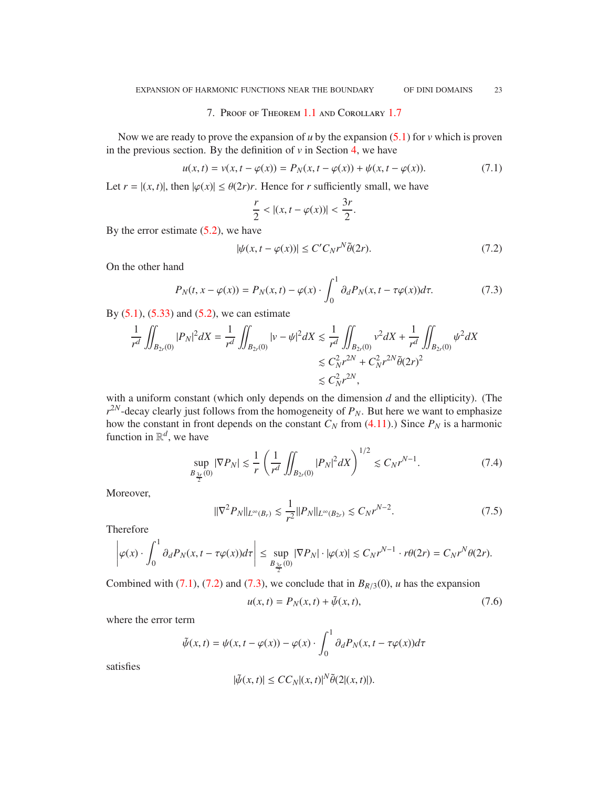#### 7. Proof of Theorem [1.1](#page-0-0) and Corollary [1.7](#page-2-0)

<span id="page-22-0"></span>Now we are ready to prove the expansion of  $u$  by the expansion  $(5.1)$  for  $v$  which is proven in the previous section. By the definition of  $v$  in Section [4,](#page-8-0) we have

<span id="page-22-1"></span>
$$
u(x,t) = v(x, t - \varphi(x)) = P_N(x, t - \varphi(x)) + \psi(x, t - \varphi(x)).
$$
\n(7.1)

.

Let  $r = |(x, t)|$ , then  $|\varphi(x)| \leq \theta(2r)r$ . Hence for *r* sufficiently small, we have

$$
\frac{r}{2} < |(x,t-\varphi(x))| < \frac{3r}{2}
$$

By the error estimate  $(5.2)$ , we have

<span id="page-22-2"></span>
$$
|\psi(x, t - \varphi(x))| \le C' C_N r^N \tilde{\theta}(2r). \tag{7.2}
$$

On the other hand

<span id="page-22-3"></span>
$$
P_N(t, x - \varphi(x)) = P_N(x, t) - \varphi(x) \cdot \int_0^1 \partial_d P_N(x, t - \tau \varphi(x)) d\tau.
$$
 (7.3)

By  $(5.1)$ ,  $(5.33)$  and  $(5.2)$ , we can estimate

$$
\frac{1}{r^d} \iint_{B_{2r}(0)} |P_N|^2 dX = \frac{1}{r^d} \iint_{B_{2r}(0)} |v - \psi|^2 dX \le \frac{1}{r^d} \iint_{B_{2r}(0)} v^2 dX + \frac{1}{r^d} \iint_{B_{2r}(0)} \psi^2 dX
$$
  

$$
\le C_N^2 r^{2N} + C_N^2 r^{2N} \tilde{\theta}(2r)^2
$$
  

$$
\le C_N^2 r^{2N},
$$

with a uniform constant (which only depends on the dimension *d* and the ellipticity). (The  $r^{2N}$ -decay clearly just follows from the homogeneity of  $P_N$ . But here we want to emphasize how the constant in front depends on the constant  $C_N$  from [\(4.11\)](#page-11-0).) Since  $P_N$  is a harmonic function in  $\mathbb{R}^d$ , we have

$$
\sup_{B_{\frac{3r}{2}}(0)} |\nabla P_N| \lesssim \frac{1}{r} \left( \frac{1}{r^d} \iint_{B_{2r}(0)} |P_N|^2 dX \right)^{1/2} \lesssim C_N r^{N-1}.
$$
 (7.4)

Moreover,

<span id="page-22-5"></span>
$$
\|\nabla^2 P_N\|_{L^\infty(B_r)} \lesssim \frac{1}{r^2} \|P_N\|_{L^\infty(B_{2r})} \lesssim C_N r^{N-2}.
$$
\n(7.5)

Therefore

$$
\left|\varphi(x)\cdot\int_0^1\partial_dP_N(x,t-\tau\varphi(x))d\tau\right|\leq \sup_{B_{\frac{3r}{2}}(0)}|\nabla P_N|\cdot|\varphi(x)|\lesssim C_Nr^{N-1}\cdot r\theta(2r)=C_Nr^N\theta(2r).
$$

Combined with [\(7.1\)](#page-22-1), [\(7.2\)](#page-22-2) and [\(7.3\)](#page-22-3), we conclude that in  $B_{R/3}(0)$ , *u* has the expansion

<span id="page-22-4"></span>
$$
u(x,t) = P_N(x,t) + \tilde{\psi}(x,t),\tag{7.6}
$$

where the error term

$$
\tilde{\psi}(x,t) = \psi(x,t - \varphi(x)) - \varphi(x) \cdot \int_0^1 \partial_d P_N(x,t - \tau \varphi(x))d\tau
$$

satisfies

$$
|\tilde{\psi}(x,t)| \le CC_N |(x,t)|^N \tilde{\theta}(2|(x,t)|).
$$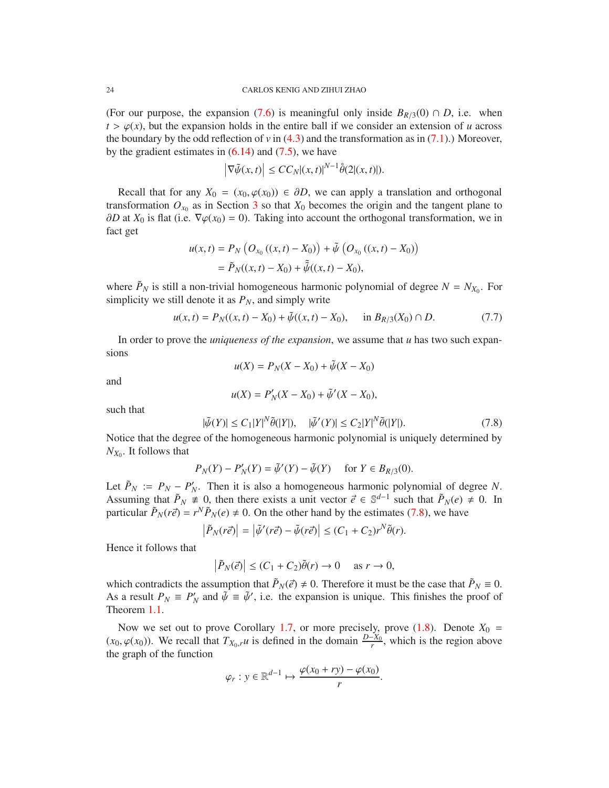(For our purpose, the expansion [\(7.6\)](#page-22-4) is meaningful only inside  $B_{R/3}(0) \cap D$ , i.e. when  $t > \varphi(x)$ , but the expansion holds in the entire ball if we consider an extension of *u* across the boundary by the odd reflection of  $v$  in [\(4.3\)](#page-9-2) and the transformation as in [\(7.1\)](#page-22-1).) Moreover, by the gradient estimates in  $(6.14)$  and  $(7.5)$ , we have

$$
\left|\nabla \tilde{\psi}(x,t)\right| \le CC_N |(x,t)|^{N-1} \dot{\theta}(2|(x,t)|).
$$

Recall that for any  $X_0 = (x_0, \varphi(x_0)) \in \partial D$ , we can apply a translation and orthogonal transformation  $O_{x_0}$  as in Section [3](#page-6-0) so that  $X_0$  becomes the origin and the tangent plane to  $\partial D$  at  $X_0$  is flat (i.e.  $\nabla \varphi(x_0) = 0$ ). Taking into account the orthogonal transformation, we in fact get

$$
u(x,t) = P_N \left( O_{x_0} \left( (x,t) - X_0 \right) \right) + \tilde{\psi} \left( O_{x_0} \left( (x,t) - X_0 \right) \right)
$$
  
=  $\tilde{P}_N((x,t) - X_0) + \tilde{\psi}((x,t) - X_0),$ 

where  $\tilde{P}_N$  is still a non-trivial homogeneous harmonic polynomial of degree  $N = N_{X_0}$ . For simplicity we still denote it as  $P_N$ , and simply write

$$
u(x,t) = P_N((x,t) - X_0) + \tilde{\psi}((x,t) - X_0), \quad \text{in } B_{R/3}(X_0) \cap D. \tag{7.7}
$$

In order to prove the *uniqueness of the expansion*, we assume that *u* has two such expansions

$$
u(X) = P_N(X - X_0) + \tilde{\psi}(X - X_0)
$$

and

$$
u(X) = P'_N(X - X_0) + \tilde{\psi}'(X - X_0),
$$

such that

<span id="page-23-0"></span>
$$
|\tilde{\psi}(Y)| \le C_1 |Y|^N \tilde{\theta}(|Y|), \quad |\tilde{\psi}'(Y)| \le C_2 |Y|^N \tilde{\theta}(|Y|). \tag{7.8}
$$

Notice that the degree of the homogeneous harmonic polynomial is uniquely determined by  $N_{X_0}$ . It follows that

$$
P_N(Y) - P'_N(Y) = \tilde{\psi}'(Y) - \tilde{\psi}(Y) \quad \text{for } Y \in B_{R/3}(0).
$$

Let  $\tilde{P}_N$  :=  $P_N - P'_N$ . Then it is also a homogeneous harmonic polynomial of degree *N*. Assuming that  $\tilde{P}_N \neq 0$ , then there exists a unit vector  $\vec{e} \in \mathbb{S}^{d-1}$  such that  $\tilde{P}_N(e) \neq 0$ . In particular  $\tilde{P}_N(r\vec{e}) = r^N \tilde{P}_N(e) \neq 0$ . On the other hand by the estimates [\(7.8\)](#page-23-0), we have

$$
\left|\tilde{P}_N(r\vec{e})\right| = \left|\tilde{\psi}'(r\vec{e}) - \tilde{\psi}(r\vec{e})\right| \le (C_1 + C_2)r^N\tilde{\theta}(r).
$$

Hence it follows that

$$
\left|\tilde{P}_N(\vec{e})\right| \le (C_1 + C_2)\tilde{\theta}(r) \to 0 \quad \text{as } r \to 0,
$$

which contradicts the assumption that  $\tilde{P}_N(\vec{e}) \neq 0$ . Therefore it must be the case that  $\tilde{P}_N \equiv 0$ . As a result  $P_N \equiv P'_N$  and  $\tilde{\psi} \equiv \tilde{\psi}'$ , i.e. the expansion is unique. This finishes the proof of Theorem [1.1.](#page-0-0)

Now we set out to prove Corollary [1.7,](#page-2-0) or more precisely, prove  $(1.8)$ . Denote  $X_0 =$  $(x_0, \varphi(x_0))$ . We recall that  $T_{X_0,r}u$  is defined in the domain  $\frac{D-X_0}{r}$ , which is the region above the graph of the function

$$
\varphi_r : y \in \mathbb{R}^{d-1} \mapsto \frac{\varphi(x_0 + ry) - \varphi(x_0)}{r}.
$$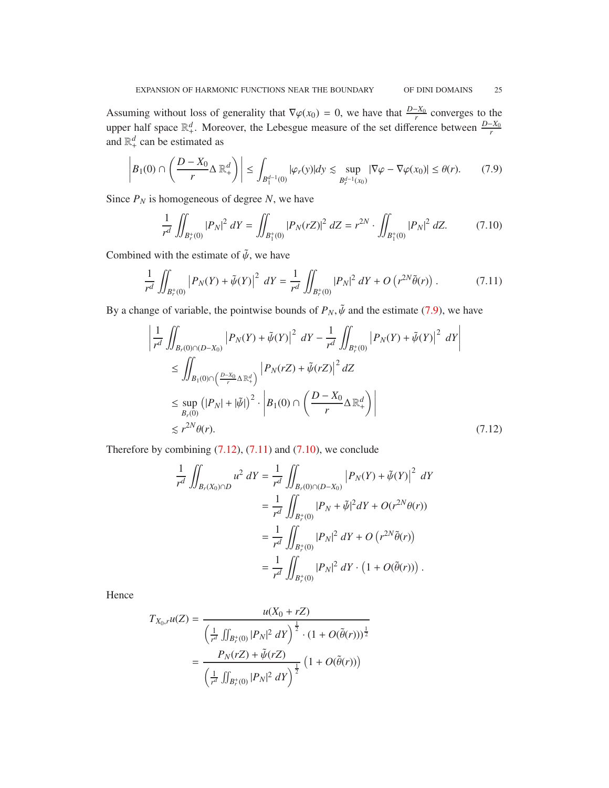Assuming without loss of generality that  $\nabla \varphi(x_0) = 0$ , we have that  $\frac{D-X_0}{r}$  converges to the upper half space  $\mathbb{R}^d_+$ . Moreover, the Lebesgue measure of the set difference between  $\frac{D-X_0}{r}$  and  $\mathbb{R}^d_+$  can be estimated as

<span id="page-24-0"></span>
$$
\left| B_1(0) \cap \left( \frac{D - X_0}{r} \Delta \mathbb{R}^d_+ \right) \right| \le \int_{B_1^{d-1}(0)} |\varphi_r(y)| dy \lesssim \sup_{B_r^{d-1}(x_0)} |\nabla \varphi - \nabla \varphi(x_0)| \le \theta(r). \tag{7.9}
$$

Since  $P_N$  is homogeneous of degree *N*, we have

<span id="page-24-3"></span>
$$
\frac{1}{r^d} \iint_{B_r^+(0)} |P_N|^2 \, dY = \iint_{B_1^+(0)} |P_N(rZ)|^2 \, dZ = r^{2N} \cdot \iint_{B_1^+(0)} |P_N|^2 \, dZ. \tag{7.10}
$$

Combined with the estimate of  $\tilde{\psi}$ , we have

<span id="page-24-2"></span>
$$
\frac{1}{r^d} \iint_{B_r^+(0)} \left| P_N(Y) + \tilde{\psi}(Y) \right|^2 \, dY = \frac{1}{r^d} \iint_{B_r^+(0)} |P_N|^2 \, dY + O\left(r^{2N} \tilde{\theta}(r)\right). \tag{7.11}
$$

By a change of variable, the pointwise bounds of  $P_N$ ,  $\tilde{\psi}$  and the estimate [\(7.9\)](#page-24-0), we have

$$
\left| \frac{1}{r^d} \iint_{B_r(0) \cap (D-X_0)} \left| P_N(Y) + \tilde{\psi}(Y) \right|^2 \, dY - \frac{1}{r^d} \iint_{B_r^+(0)} \left| P_N(Y) + \tilde{\psi}(Y) \right|^2 \, dY \right|
$$
\n
$$
\leq \iint_{B_1(0) \cap \left( \frac{D-X_0}{r} \Delta \mathbb{R}^d_+ \right)} \left| P_N(rZ) + \tilde{\psi}(rZ) \right|^2 \, dZ
$$
\n
$$
\leq \sup_{B_r(0)} \left( |P_N| + |\tilde{\psi}| \right)^2 \cdot \left| B_1(0) \cap \left( \frac{D-X_0}{r} \Delta \mathbb{R}^d_+ \right) \right|
$$
\n
$$
\leq r^{2N} \theta(r). \tag{7.12}
$$

Therefore by combining  $(7.12)$ ,  $(7.11)$  and  $(7.10)$ , we conclude

<span id="page-24-1"></span>
$$
\frac{1}{r^d} \iint_{B_r(X_0) \cap D} u^2 \, dY = \frac{1}{r^d} \iint_{B_r(0) \cap (D - X_0)} \left| P_N(Y) + \tilde{\psi}(Y) \right|^2 \, dY
$$
\n
$$
= \frac{1}{r^d} \iint_{B_r^+(0)} |P_N + \tilde{\psi}|^2 \, dY + O(r^{2N}\theta(r))
$$
\n
$$
= \frac{1}{r^d} \iint_{B_r^+(0)} |P_N|^2 \, dY + O\left(r^{2N}\tilde{\theta}(r)\right)
$$
\n
$$
= \frac{1}{r^d} \iint_{B_r^+(0)} |P_N|^2 \, dY \cdot \left(1 + O(\tilde{\theta}(r))\right).
$$

Hence

$$
T_{X_0,r}u(Z) = \frac{u(X_0 + rZ)}{\left(\frac{1}{r^d} \iint_{B_r^+(0)} |P_N|^2 \, dY\right)^{\frac{1}{2}} \cdot (1 + O(\tilde{\theta}(r)))^{\frac{1}{2}}}
$$

$$
= \frac{P_N(rZ) + \tilde{\psi}(rZ)}{\left(\frac{1}{r^d} \iint_{B_r^+(0)} |P_N|^2 \, dY\right)^{\frac{1}{2}}} \left(1 + O(\tilde{\theta}(r))\right)
$$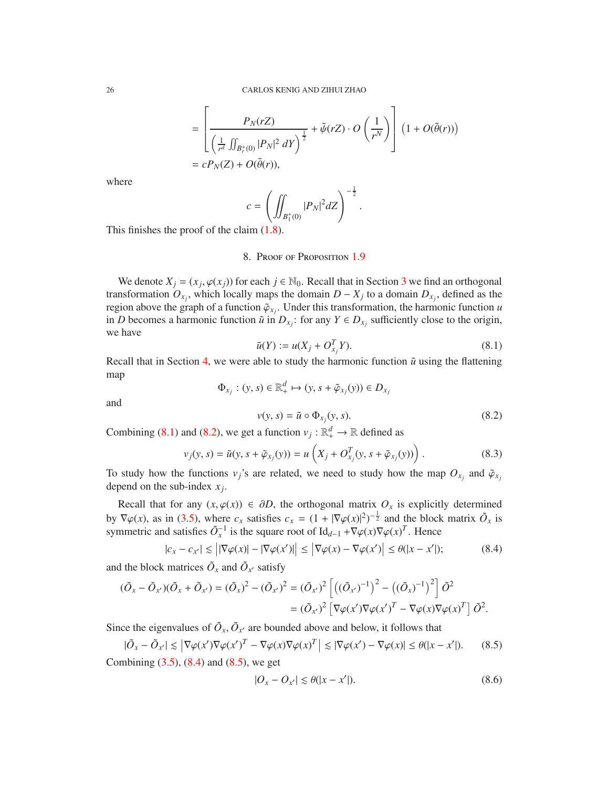$$
= \left[ \frac{P_N(rZ)}{\left(\frac{1}{r^d} \iint_{B_r^+(0)} |P_N|^2 \, dY\right)^{\frac{1}{2}}} + \tilde{\psi}(rZ) \cdot O\left(\frac{1}{r^N}\right) \right] \left(1 + O(\tilde{\theta}(r))\right)
$$
  
=  $cP_N(Z) + O(\tilde{\theta}(r)),$ 

where

$$
c = \left( \iint_{B_1^+(0)} |P_N|^2 dZ \right)^{-\frac{1}{2}}.
$$

<span id="page-25-0"></span>This finishes the proof of the claim  $(1.8)$ .

8. Proof of Proposition [1.9](#page-2-2)

We denote  $X_j = (x_j, \varphi(x_j))$  for each  $j \in \mathbb{N}_0$ . Recall that in Section [3](#page-6-0) we find an orthogonal transformation  $O_{x_j}$ , which locally maps the domain  $D - X_j$  to a domain  $D_{x_j}$ , defined as the region above the graph of a function  $\tilde{\varphi}_{x_j}$ . Under this transformation, the harmonic function *u* in *D* becomes a harmonic function  $\tilde{u}$  in  $D_{x_j}$ : for any  $Y \in D_{x_j}$  sufficiently close to the origin, we have

<span id="page-25-1"></span>
$$
\tilde{u}(Y) := u(X_j + O_{x_j}^T Y). \tag{8.1}
$$

Recall that in Section [4,](#page-8-0) we were able to study the harmonic function  $\tilde{u}$  using the flattening map

$$
\Phi_{x_j} : (y, s) \in \mathbb{R}_+^d \mapsto (y, s + \tilde{\varphi}_{x_j}(y)) \in D_{x_j}
$$

and

<span id="page-25-2"></span>
$$
v(y, s) = \tilde{u} \circ \Phi_{x_j}(y, s). \tag{8.2}
$$

Combining [\(8.1\)](#page-25-1) and [\(8.2\)](#page-25-2), we get a function  $v_j : \mathbb{R}^d_+ \to \mathbb{R}$  defined as

<span id="page-25-5"></span>
$$
v_j(y, s) = \tilde{u}(y, s + \tilde{\varphi}_{x_j}(y)) = u\left(X_j + O_{x_j}^T(y, s + \tilde{\varphi}_{x_j}(y))\right).
$$
 (8.3)

To study how the functions  $v_j$ 's are related, we need to study how the map  $O_{x_j}$  and  $\tilde{\varphi}_{x_j}$ depend on the sub-index *x<sup>j</sup>* .

Recall that for any  $(x, \varphi(x)) \in \partial D$ , the orthogonal matrix  $O_x$  is explicitly determined by  $\nabla \varphi(x)$ , as in [\(3.5\)](#page-7-5), where  $c_x$  satisfies  $c_x = (1 + |\nabla \varphi(x)|^2)^{-\frac{1}{2}}$  and the block matrix  $\tilde{O}_x$  is symmetric and satisfies  $\tilde{O}_x^{-1}$  is the square root of Id<sub>*d*−1</sub> + $\nabla \varphi(x) \nabla \varphi(x)^T$ . Hence

<span id="page-25-3"></span>
$$
|c_x - c_{x'}| \leq \left| |\nabla \varphi(x)| - |\nabla \varphi(x')| \right| \leq \left| \nabla \varphi(x) - \nabla \varphi(x') \right| \leq \theta(|x - x'|); \tag{8.4}
$$

and the block matrices  $\tilde{O}_x$  and  $\tilde{O}_{x'}$  satisfy

$$
(\tilde{O}_x - \tilde{O}_{x'})(\tilde{O}_x + \tilde{O}_{x'}) = (\tilde{O}_x)^2 - (\tilde{O}_{x'})^2 = (\tilde{O}_{x'})^2 \left[ \left( (\tilde{O}_{x'})^{-1} \right)^2 - \left( (\tilde{O}_x)^{-1} \right)^2 \right] \tilde{O}^2
$$
  
=  $(\tilde{O}_{x'})^2 \left[ \nabla \varphi(x') \nabla \varphi(x')^T - \nabla \varphi(x) \nabla \varphi(x)^T \right] \tilde{O}^2.$ 

Since the eigenvalues of  $\tilde{O}_x$ ,  $\tilde{O}_{x'}$  are bounded above and below, it follows that

<span id="page-25-4"></span>
$$
|\tilde{O}_x - \tilde{O}_{x'}| \le |\nabla \varphi(x') \nabla \varphi(x')^T - \nabla \varphi(x) \nabla \varphi(x)^T| \le |\nabla \varphi(x') - \nabla \varphi(x)| \le \theta(|x - x'|). \tag{8.5}
$$

Combining [\(3.5\)](#page-7-5), [\(8.4\)](#page-25-3) and [\(8.5\)](#page-25-4), we get

<span id="page-25-6"></span>
$$
|O_x - O_{x'}| \le \theta(|x - x'|). \tag{8.6}
$$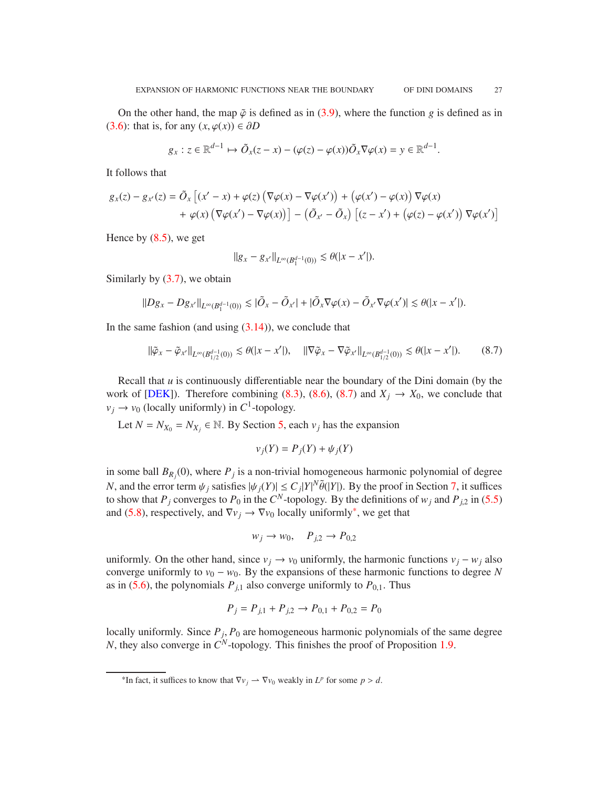<span id="page-26-2"></span>On the other hand, the map  $\tilde{\varphi}$  is defined as in [\(3.9\)](#page-7-6), where the function *g* is defined as in [\(3.6\)](#page-7-7): that is, for any  $(x, \varphi(x)) \in \partial D$ 

$$
g_x: z \in \mathbb{R}^{d-1} \mapsto \tilde{O}_x(z-x) - (\varphi(z) - \varphi(x))\tilde{O}_x \nabla \varphi(x) = y \in \mathbb{R}^{d-1}.
$$

It follows that

$$
g_x(z) - g_{x'}(z) = \tilde{O}_x \left[ (x' - x) + \varphi(z) \left( \nabla \varphi(x) - \nabla \varphi(x') \right) + \left( \varphi(x') - \varphi(x) \right) \nabla \varphi(x) + \varphi(x) \left( \nabla \varphi(x') - \nabla \varphi(x) \right) \right] - \left( \tilde{O}_{x'} - \tilde{O}_x \right) \left[ (z - x') + \left( \varphi(z) - \varphi(x') \right) \nabla \varphi(x') \right]
$$

Hence by  $(8.5)$ , we get

$$
||g_x - g_{x'}||_{L^{\infty}(B_1^{d-1}(0))} \lesssim \theta(|x - x'|).
$$

Similarly by  $(3.7)$ , we obtain

$$
||Dg_x - Dg_{x'}||_{L^{\infty}(B_1^{d-1}(0))} \lesssim |\tilde{O}_x - \tilde{O}_{x'}| + |\tilde{O}_x \nabla \varphi(x) - \tilde{O}_{x'} \nabla \varphi(x')| \lesssim \theta(|x - x'|).
$$

In the same fashion (and using  $(3.14)$ ), we conclude that

<span id="page-26-0"></span>
$$
\|\tilde{\varphi}_x - \tilde{\varphi}_{x'}\|_{L^{\infty}(B_{1/2}^{d-1}(0))} \lesssim \theta(|x - x'|), \quad \|\nabla \tilde{\varphi}_x - \nabla \tilde{\varphi}_{x'}\|_{L^{\infty}(B_{1/2}^{d-1}(0))} \lesssim \theta(|x - x'|). \tag{8.7}
$$

Recall that *u* is continuously differentiable near the boundary of the Dini domain (by the work of [\[DEK\]](#page-30-7)). Therefore combining [\(8.3\)](#page-25-5), [\(8.6\)](#page-25-6), [\(8.7\)](#page-26-0) and  $X_i \rightarrow X_0$ , we conclude that  $v_j \rightarrow v_0$  (locally uniformly) in *C*<sup>1</sup>-topology.

Let  $N = N_{X_0} = N_{X_j} \in \mathbb{N}$ . By Section [5,](#page-12-0) each  $v_j$  has the expansion

$$
v_j(Y) = P_j(Y) + \psi_j(Y)
$$

in some ball  $B_{R_j}(0)$ , where  $P_j$  is a non-trivial homogeneous harmonic polynomial of degree *N*, and the error term  $\psi_j$  satisfies  $|\psi_j(Y)| \le C_j |Y|^N \tilde{\theta}(|Y|)$ . By the proof in Section [7,](#page-22-0) it suffices to show that  $P_j$  converges to  $P_0$  in the  $C^N$ -topology. By the definitions of  $w_j$  and  $P_{j,2}$  in [\(5.5\)](#page-12-4) and [\(5.8\)](#page-13-2), respectively, and  $\nabla v_j \rightarrow \nabla v_0$  locally uniformly<sup>[\\*](#page-26-1)</sup>, we get that

$$
w_j \to w_0, \quad P_{j,2} \to P_{0,2}
$$

uniformly. On the other hand, since  $v_j \rightarrow v_0$  uniformly, the harmonic functions  $v_j - w_j$  also converge uniformly to  $v_0 - w_0$ . By the expansions of these harmonic functions to degree *N* as in [\(5.6\)](#page-13-1), the polynomials  $P_{i,1}$  also converge uniformly to  $P_{0,1}$ . Thus

$$
P_j = P_{j,1} + P_{j,2} \rightarrow P_{0,1} + P_{0,2} = P_0
$$

locally uniformly. Since  $P_j$ ,  $P_0$  are homogeneous harmonic polynomials of the same degree *N*, they also converge in *C <sup>N</sup>*-topology. This finishes the proof of Proposition [1.9.](#page-2-2)

<span id="page-26-1"></span><sup>&</sup>lt;sup>\*</sup>In fact, it suffices to know that  $\nabla v_j \to \nabla v_0$  weakly in  $L^p$  for some  $p > d$ .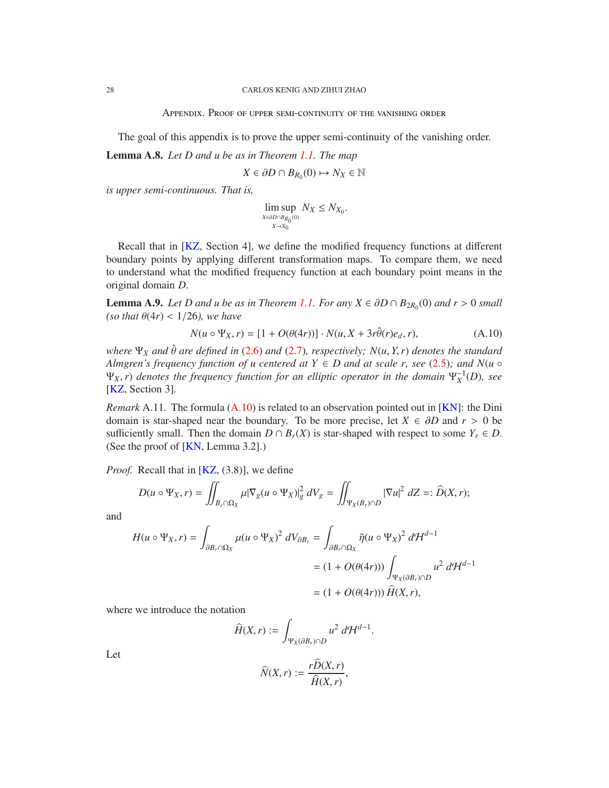Appendix. Proof of upper semi-continuity of the vanishing order

<span id="page-27-3"></span>The goal of this appendix is to prove the upper semi-continuity of the vanishing order.

<span id="page-27-2"></span>Lemma A.8. *Let D and u be as in Theorem [1.1.](#page-0-0) The map*

 $X \in \partial D \cap B_{R_0}(0) \mapsto N_X \in \mathbb{N}$ 

*is upper semi-continuous. That is,*

lim sup *X*∈∂*D*∩*B*<sub>R</sub><sub>0</sub>(0) *X*→*X*0  $N_X \leq N_{X_0}$ .

Recall that in [\[KZ,](#page-30-5) Section 4], we define the modified frequency functions at different boundary points by applying different transformation maps. To compare them, we need to understand what the modified frequency function at each boundary point means in the original domain *D*.

<span id="page-27-1"></span>**Lemma A.9.** *Let D and u be as in Theorem [1.1.](#page-0-0) For any*  $X \in \partial D \cap B_{2R_0}(0)$  *and r* > 0 *small (so that*  $\theta(4r) < 1/26$ *), we have* 

<span id="page-27-0"></span>
$$
N(u \circ \Psi_X, r) = [1 + O(\theta(4r))] \cdot N(u, X + 3r\hat{\theta}(r)e_d, r), \tag{A.10}
$$

*where*  $\Psi_X$  *and*  $\hat{\theta}$  *are defined in* [\(2.6\)](#page-4-4) *and* [\(2.7\)](#page-4-2)*, respectively;*  $N(u, Y, r)$  *denotes the standard Almgren's frequency function of u centered at*  $Y \in D$  *and at scale r, see [\(2.5\)](#page-4-5); and N(* $u \circ$  $\Psi_X$ , *r*) denotes the frequency function for an elliptic operator in the domain  $\Psi_X^{-1}(D)$ , see [\[KZ,](#page-30-5) Section 3]*.*

*Remark* A.11*.* The formula [\(A.10\)](#page-27-0) is related to an observation pointed out in [\[KN\]](#page-30-4): the Dini domain is star-shaped near the boundary. To be more precise, let  $X \in \partial D$  and  $r > 0$  be sufficiently small. Then the domain  $D \cap B_r(X)$  is star-shaped with respect to some  $Y_r \in D$ . (See the proof of [\[KN,](#page-30-4) Lemma 3.2].)

*Proof.* Recall that in [\[KZ,](#page-30-5) (3.8)], we define

$$
D(u \circ \Psi_X, r) = \iint_{B_r \cap \Omega_X} \mu |\nabla_g (u \circ \Psi_X)|_g^2 \, dV_g = \iint_{\Psi_X(B_r) \cap D} |\nabla u|^2 \, dZ =: \widehat{D}(X, r);
$$

and

$$
H(u \circ \Psi_X, r) = \int_{\partial B_r \cap \Omega_X} \mu(u \circ \Psi_X)^2 dV_{\partial B_r} = \int_{\partial B_r \cap \Omega_X} \tilde{\eta}(u \circ \Psi_X)^2 d\mathcal{H}^{d-1}
$$
  
=  $(1 + O(\theta(4r))) \int_{\Psi_X(\partial B_r) \cap D} u^2 d\mathcal{H}^{d-1}$   
=  $(1 + O(\theta(4r))) \hat{H}(X, r),$ 

where we introduce the notation

$$
\widehat{H}(X,r) := \int_{\Psi_X(\partial B_r) \cap D} u^2 \ d\mathcal{H}^{d-1}.
$$

Let

$$
\widehat{N}(X,r) := \frac{r \widehat{D}(X,r)}{\widehat{H}(X,r)},
$$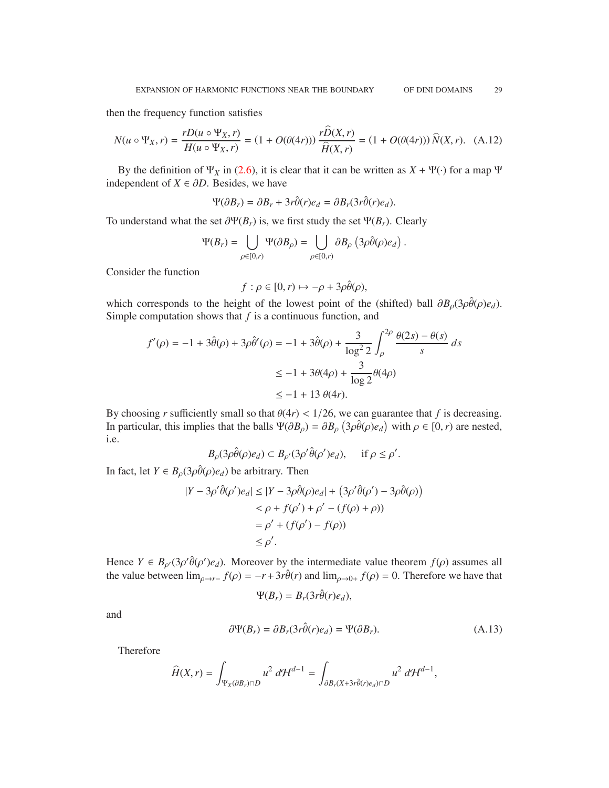then the frequency function satisfies

$$
N(u \circ \Psi_X, r) = \frac{rD(u \circ \Psi_X, r)}{H(u \circ \Psi_X, r)} = (1 + O(\theta(4r))) \frac{r\widehat{D}(X, r)}{\widehat{H}(X, r)} = (1 + O(\theta(4r))) \widehat{N}(X, r). \tag{A.12}
$$

By the definition of  $\Psi_X$  in [\(2.6\)](#page-4-4), it is clear that it can be written as  $X + \Psi(\cdot)$  for a map  $\Psi$ independent of  $X \in \partial D$ . Besides, we have

$$
\Psi(\partial B_r) = \partial B_r + 3r\hat{\theta}(r)e_d = \partial B_r(3r\hat{\theta}(r)e_d).
$$

To understand what the set  $\partial \Psi(B_r)$  is, we first study the set  $\Psi(B_r)$ . Clearly

$$
\Psi(B_r) = \bigcup_{\rho \in [0,r)} \Psi(\partial B_\rho) = \bigcup_{\rho \in [0,r)} \partial B_\rho \left(3\rho \hat{\theta}(\rho) e_d\right).
$$

Consider the function

$$
f: \rho \in [0, r) \mapsto -\rho + 3\rho \hat{\theta}(\rho),
$$

which corresponds to the height of the lowest point of the (shifted) ball  $\partial B_0(3\rho\hat{\theta}(\rho)e_d)$ . Simple computation shows that *f* is a continuous function, and

$$
f'(\rho) = -1 + 3\hat{\theta}(\rho) + 3\rho \hat{\theta}'(\rho) = -1 + 3\hat{\theta}(\rho) + \frac{3}{\log^2 2} \int_{\rho}^{2\rho} \frac{\theta(2s) - \theta(s)}{s} ds
$$
  

$$
\le -1 + 3\theta(4\rho) + \frac{3}{\log 2} \theta(4\rho)
$$
  

$$
\le -1 + 13 \theta(4r).
$$

By choosing *r* sufficiently small so that  $\theta(4r) < 1/26$ , we can guarantee that *f* is decreasing. In particular, this implies that the balls  $\Psi(\partial B_\rho) = \partial B_\rho \left(3\rho \hat{\theta}(\rho)e_d\right)$  with  $\rho \in [0, r)$  are nested, i.e.

$$
B_{\rho}(3\rho\hat{\theta}(\rho)e_d) \subset B_{\rho'}(3\rho'\hat{\theta}(\rho')e_d), \quad \text{ if } \rho \le \rho'.
$$

In fact, let  $Y \in B_0(3\rho\hat{\theta}(\rho)e_d)$  be arbitrary. Then

$$
|Y - 3\rho'\hat{\theta}(\rho')e_d| \le |Y - 3\rho\hat{\theta}(\rho)e_d| + (3\rho'\hat{\theta}(\rho') - 3\rho\hat{\theta}(\rho))
$$
  

$$
< \rho + f(\rho') + \rho' - (f(\rho) + \rho))
$$
  

$$
= \rho' + (f(\rho') - f(\rho))
$$
  

$$
\le \rho'.
$$

Hence  $Y \in B_{\rho'}(3\rho'\hat{\theta}(\rho')e_d)$ . Moreover by the intermediate value theorem  $f(\rho)$  assumes all the value between  $\lim_{\rho \to r^-} f(\rho) = -r + 3r \hat{\theta}(r)$  and  $\lim_{\rho \to 0^+} f(\rho) = 0$ . Therefore we have that

$$
\Psi(B_r) = B_r(3r\hat{\theta}(r)e_d),
$$

and

$$
\partial \Psi(B_r) = \partial B_r(3r\hat{\theta}(r)e_d) = \Psi(\partial B_r). \tag{A.13}
$$

Therefore

$$
\widehat{H}(X,r) = \int_{\Psi_X(\partial B_r)\cap D} u^2 \, d\mathcal{H}^{d-1} = \int_{\partial B_r(X+3r\hat{\theta}(r)e_d)\cap D} u^2 \, d\mathcal{H}^{d-1},
$$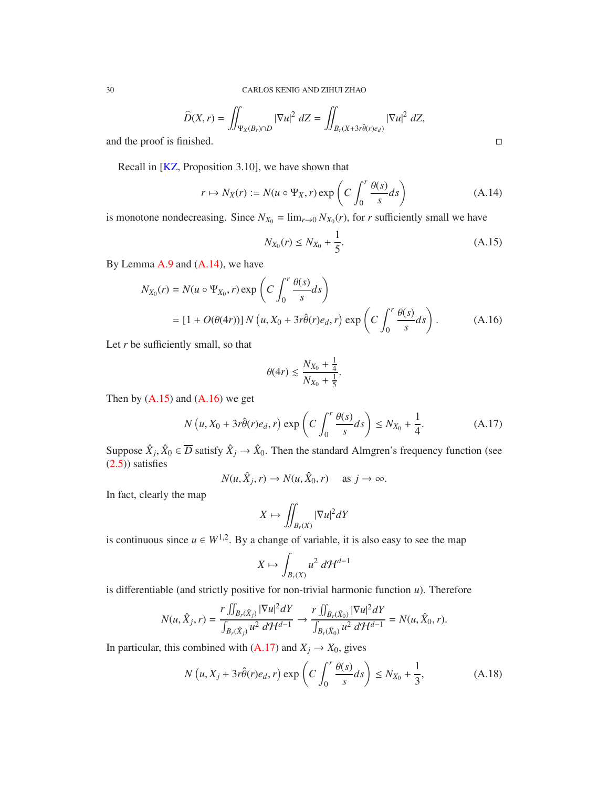$$
\widehat{D}(X,r) = \iint_{\Psi_X(B_r) \cap D} |\nabla u|^2 \, dZ = \iint_{B_r(X+3r\hat{\theta}(r)e_d)} |\nabla u|^2 \, dZ,
$$
\nand the proof is finished.

Recall in [\[KZ,](#page-30-5) Proposition 3.10], we have shown that

<span id="page-29-0"></span>
$$
r \mapsto N_X(r) := N(u \circ \Psi_X, r) \exp\left(C \int_0^r \frac{\theta(s)}{s} ds\right)
$$
 (A.14)

is monotone nondecreasing. Since  $N_{X_0} = \lim_{r \to 0} N_{X_0}(r)$ , for *r* sufficiently small we have

<span id="page-29-1"></span>
$$
N_{X_0}(r) \le N_{X_0} + \frac{1}{5}.\tag{A.15}
$$

By Lemma [A.9](#page-27-1) and [\(A.14\)](#page-29-0), we have

$$
N_{X_0}(r) = N(u \circ \Psi_{X_0}, r) \exp\left(C \int_0^r \frac{\theta(s)}{s} ds\right)
$$
  
=  $[1 + O(\theta(4r))] N(u, X_0 + 3r\hat{\theta}(r)e_d, r) \exp\left(C \int_0^r \frac{\theta(s)}{s} ds\right).$  (A.16)

Let  $r$  be sufficiently small, so that

$$
\theta(4r) \lesssim \frac{N_{X_0} + \frac{1}{4}}{N_{X_0} + \frac{1}{5}}.
$$

Then by  $(A.15)$  and  $(A.16)$  we get

<span id="page-29-3"></span>
$$
N(u, X_0 + 3r\hat{\theta}(r)e_d, r) \exp\left(C \int_0^r \frac{\theta(s)}{s} ds\right) \le N_{X_0} + \frac{1}{4}.
$$
 (A.17)

Suppose  $\hat{X}_j, \hat{X}_0 \in \overline{D}$  satisfy  $\hat{X}_j \to \hat{X}_0$ . Then the standard Almgren's frequency function (see [\(2.5\)](#page-4-5)) satisfies

$$
N(u, \hat{X}_j, r) \to N(u, \hat{X}_0, r) \quad \text{as } j \to \infty.
$$

In fact, clearly the map

$$
X \mapsto \iint_{B_r(X)} |\nabla u|^2 dY
$$

is continuous since  $u \in W^{1,2}$ . By a change of variable, it is also easy to see the map

$$
X \mapsto \int_{B_r(X)} u^2 \, d\mathcal{H}^{d-1}
$$

is differentiable (and strictly positive for non-trivial harmonic function *u*). Therefore

$$
N(u,\hat{X}_j,r)=\frac{r\iint_{B_r(\hat{X}_j)}|\nabla u|^2dY}{\int_{B_r(\hat{X}_j)}u^2\;d\mathcal{H}^{d-1}}\to \frac{r\iint_{B_r(\hat{X}_0)}|\nabla u|^2dY}{\int_{B_r(\hat{X}_0)}u^2\;d\mathcal{H}^{d-1}}=N(u,\hat{X}_0,r).
$$

In particular, this combined with  $(A.17)$  and  $X_j \rightarrow X_0$ , gives

$$
N(u, X_j + 3r\hat{\theta}(r)e_d, r) \exp\left(C \int_0^r \frac{\theta(s)}{s} ds\right) \le N_{X_0} + \frac{1}{3},\tag{A.18}
$$

<span id="page-29-4"></span>

<span id="page-29-2"></span>